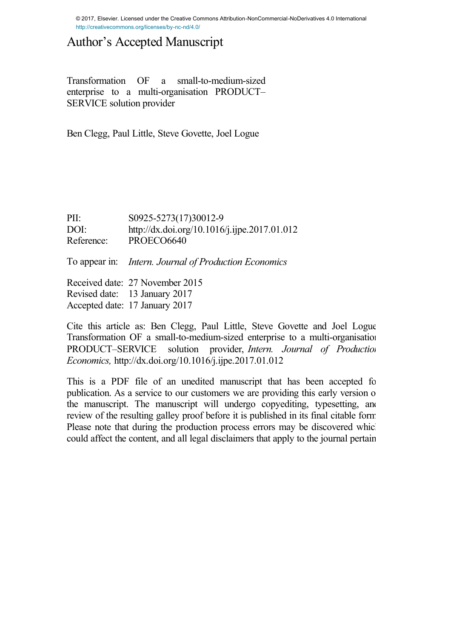© 2017, Elsevier. Licensed under the Creative Commons Attribution-NonCommercial-NoDerivatives 4.0 International http://creativecommons.org/licenses/by-nc-nd/4.0/

# Author's Accepted Manuscript

Transformation OF a small-to-medium-sized enterprise to a multi-organisation PRODUCT– SERVICE solution provider

Ben Clegg, Paul Little, Steve Govette, Joel Logue

PII: S0925-5273(17)30012-9<br>DOI: http://dx.doi.org/10.1016 PII: S0925-5273(17)30012-9<br>DOI:<http://dx.doi.org/10.1016/j.ijpe.2017.01.012> DOI: http://dx.doi.org/<br>Reference: PROECO6640

To appear in: *Intern. Journal of Production Economics*

Received date: 27 November 2015 Received date: 27 November 2015<br>Revised date: 13 January 2017 Revised date: 13 January 2017<br>Accepted date: 17 January 2017

Cite this article as: Ben Clegg, Paul Little, Steve Govette and Joel Logue, Transformation OF a small-to-medium-sized enterprise to a multi-organisation PRODUCT–SERVICE solution provider, *Intern. Journal of Production Economics,* <http://dx.doi.org/10.1016/j.ijpe.2017.01.012>

This is a PDF file of an unedited manuscript that has been accepted for publication. As a service to our customers we are providing this early version of the manuscript. The manuscript will undergo copyediting, typesetting, and review of the resulting galley proof before it is published in its final citable form. Please note that during the production process errors may be discovered which could affect the content, and all legal disclaimers that apply to the journal pertain.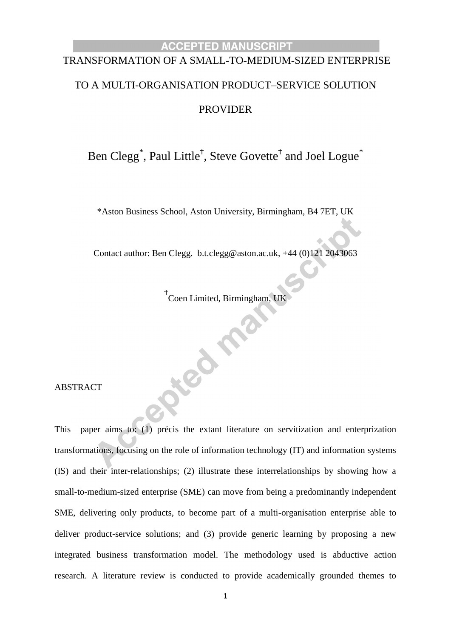# TRANSFORMATION OF A SMALL-TO-MEDIUM-SIZED ENTERPRISE

# TO A MULTI-ORGANISATION PRODUCT–SERVICE SOLUTION PROVIDER

Ben Clegg<sup>\*</sup>, Paul Little<sup>†</sup>, Steve Govette<sup>†</sup> and Joel Logue<sup>\*</sup>

\*Aston Business School, Aston University, Birmingham, B4 7ET, UK

Contact author: Ben Clegg. b.t.clegg@aston.ac.uk, +44 (0)121 2043063

Ϯ Coen Limited, Birmingham, UK

Jeo Fré

ABSTRACT

This paper aims to: (1) précis the extant literature on servitization and enterprization transformations, focusing on the role of information technology (IT) and information systems (IS) and their inter-relationships; (2) illustrate these interrelationships by showing how a small-to-medium-sized enterprise (SME) can move from being a predominantly independent SME, delivering only products, to become part of a multi-organisation enterprise able to deliver product-service solutions; and (3) provide generic learning by proposing a new integrated business transformation model. The methodology used is abductive action research. A literature review is conducted to provide academically grounded themes to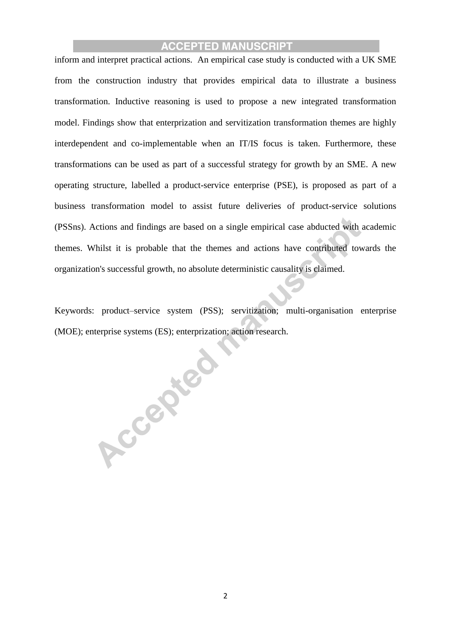inform and interpret practical actions. An empirical case study is conducted with a UK SME from the construction industry that provides empirical data to illustrate a business transformation. Inductive reasoning is used to propose a new integrated transformation model. Findings show that enterprization and servitization transformation themes are highly interdependent and co-implementable when an IT/IS focus is taken. Furthermore, these transformations can be used as part of a successful strategy for growth by an SME. A new operating structure, labelled a product-service enterprise (PSE), is proposed as part of a business transformation model to assist future deliveries of product-service solutions (PSSns). Actions and findings are based on a single empirical case abducted with academic themes. Whilst it is probable that the themes and actions have contributed towards the organization's successful growth, no absolute deterministic causality is claimed.

Keywords: product–service system (PSS); servitization; multi-organisation enterprise (MOE); enterprise systems (ES); enterprization; action research.

Accepted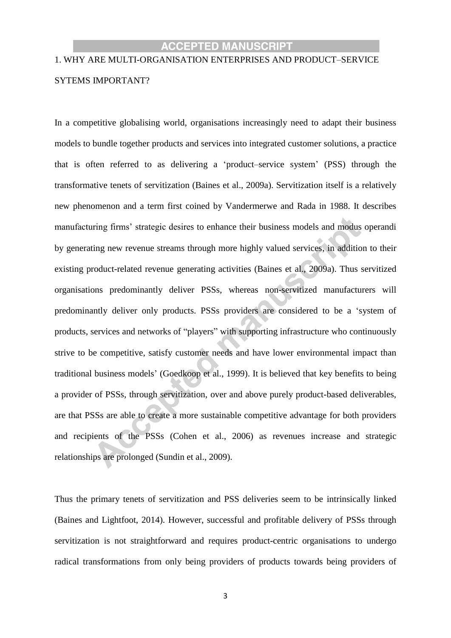# 1. WHY ARE MULTI-ORGANISATION ENTERPRISES AND PRODUCT–SERVICE SYTEMS IMPORTANT?

In a competitive globalising world, organisations increasingly need to adapt their business models to bundle together products and services into integrated customer solutions, a practice that is often referred to as delivering a 'product–service system' (PSS) through the transformative tenets of servitization (Baines et al., 2009a). Servitization itself is a relatively new phenomenon and a term first coined by Vandermerwe and Rada in 1988. It describes manufacturing firms' strategic desires to enhance their business models and modus operandi by generating new revenue streams through more highly valued services, in addition to their existing product-related revenue generating activities (Baines et al., 2009a). Thus servitized organisations predominantly deliver PSSs, whereas non-servitized manufacturers will predominantly deliver only products. PSSs providers are considered to be a 'system of products, services and networks of "players" with supporting infrastructure who continuously strive to be competitive, satisfy customer needs and have lower environmental impact than traditional business models' (Goedkoop et al., 1999). It is believed that key benefits to being a provider of PSSs, through servitization, over and above purely product-based deliverables, are that PSSs are able to create a more sustainable competitive advantage for both providers and recipients of the PSSs (Cohen et al., 2006) as revenues increase and strategic relationships are prolonged (Sundin et al., 2009).

Thus the primary tenets of servitization and PSS deliveries seem to be intrinsically linked (Baines and Lightfoot, 2014). However, successful and profitable delivery of PSSs through servitization is not straightforward and requires product-centric organisations to undergo radical transformations from only being providers of products towards being providers of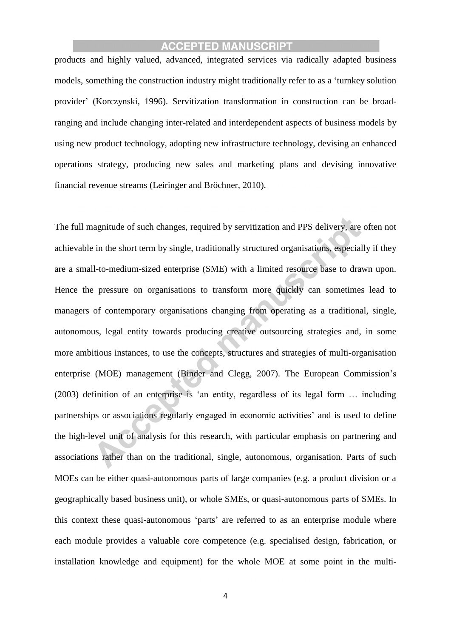products and highly valued, advanced, integrated services via radically adapted business models, something the construction industry might traditionally refer to as a 'turnkey solution provider' (Korczynski, 1996). Servitization transformation in construction can be broadranging and include changing inter-related and interdependent aspects of business models by using new product technology, adopting new infrastructure technology, devising an enhanced operations strategy, producing new sales and marketing plans and devising innovative financial revenue streams (Leiringer and Bröchner, 2010).

The full magnitude of such changes, required by servitization and PPS delivery, are often not achievable in the short term by single, traditionally structured organisations, especially if they are a small-to-medium-sized enterprise (SME) with a limited resource base to drawn upon. Hence the pressure on organisations to transform more quickly can sometimes lead to managers of contemporary organisations changing from operating as a traditional, single, autonomous, legal entity towards producing creative outsourcing strategies and, in some more ambitious instances, to use the concepts, structures and strategies of multi-organisation enterprise (MOE) management (Binder and Clegg, 2007). The European Commission's (2003) definition of an enterprise is 'an entity, regardless of its legal form … including partnerships or associations regularly engaged in economic activities' and is used to define the high-level unit of analysis for this research, with particular emphasis on partnering and associations rather than on the traditional, single, autonomous, organisation. Parts of such MOEs can be either quasi-autonomous parts of large companies (e.g. a product division or a geographically based business unit), or whole SMEs, or quasi-autonomous parts of SMEs. In this context these quasi-autonomous 'parts' are referred to as an enterprise module where each module provides a valuable core competence (e.g. specialised design, fabrication, or installation knowledge and equipment) for the whole MOE at some point in the multi-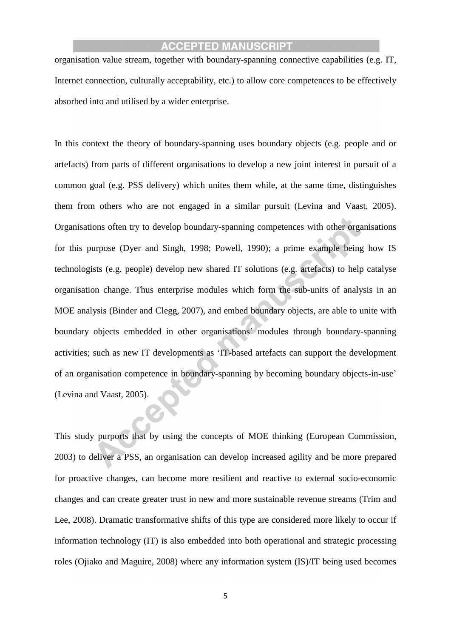organisation value stream, together with boundary-spanning connective capabilities (e.g. IT, Internet connection, culturally acceptability, etc.) to allow core competences to be effectively absorbed into and utilised by a wider enterprise.

In this context the theory of boundary-spanning uses boundary objects (e.g. people and or artefacts) from parts of different organisations to develop a new joint interest in pursuit of a common goal (e.g. PSS delivery) which unites them while, at the same time, distinguishes them from others who are not engaged in a similar pursuit (Levina and Vaast, 2005). Organisations often try to develop boundary-spanning competences with other organisations for this purpose (Dyer and Singh, 1998; Powell, 1990); a prime example being how IS technologists (e.g. people) develop new shared IT solutions (e.g. artefacts) to help catalyse organisation change. Thus enterprise modules which form the sub-units of analysis in an MOE analysis (Binder and Clegg, 2007), and embed boundary objects, are able to unite with boundary objects embedded in other organisations' modules through boundary-spanning activities; such as new IT developments as 'IT-based artefacts can support the development of an organisation competence in boundary-spanning by becoming boundary objects-in-use' (Levina and Vaast, 2005).

This study purports that by using the concepts of MOE thinking (European Commission, 2003) to deliver a PSS, an organisation can develop increased agility and be more prepared for proactive changes, can become more resilient and reactive to external socio-economic changes and can create greater trust in new and more sustainable revenue streams (Trim and Lee, 2008). Dramatic transformative shifts of this type are considered more likely to occur if information technology (IT) is also embedded into both operational and strategic processing roles (Ojiako and Maguire, 2008) where any information system (IS)/IT being used becomes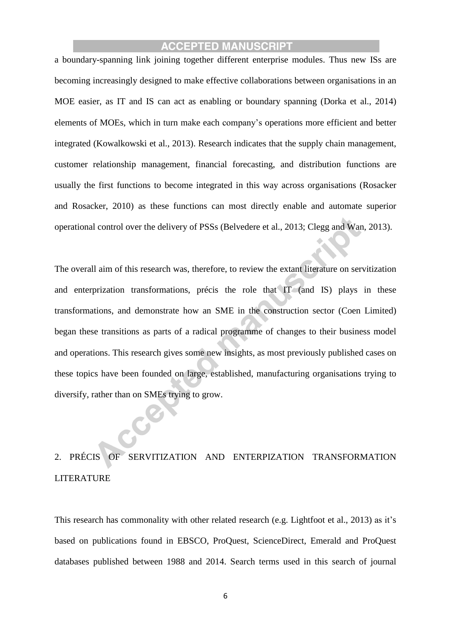a boundary-spanning link joining together different enterprise modules. Thus new ISs are becoming increasingly designed to make effective collaborations between organisations in an MOE easier, as IT and IS can act as enabling or boundary spanning (Dorka et al., 2014) elements of MOEs, which in turn make each company's operations more efficient and better integrated (Kowalkowski et al., 2013). Research indicates that the supply chain management, customer relationship management, financial forecasting, and distribution functions are usually the first functions to become integrated in this way across organisations (Rosacker and Rosacker, 2010) as these functions can most directly enable and automate superior operational control over the delivery of PSSs (Belvedere et al., 2013; Clegg and Wan, 2013).

The overall aim of this research was, therefore, to review the extant literature on servitization and enterprization transformations, précis the role that IT (and IS) plays in these transformations, and demonstrate how an SME in the construction sector (Coen Limited) began these transitions as parts of a radical programme of changes to their business model and operations. This research gives some new insights, as most previously published cases on these topics have been founded on large, established, manufacturing organisations trying to diversify, rather than on SMEs trying to grow.

# 2. PRÉCIS OF SERVITIZATION AND ENTERPIZATION TRANSFORMATION LITERATURE

This research has commonality with other related research (e.g. Lightfoot et al., 2013) as it's based on publications found in EBSCO, ProQuest, ScienceDirect, Emerald and ProQuest databases published between 1988 and 2014. Search terms used in this search of journal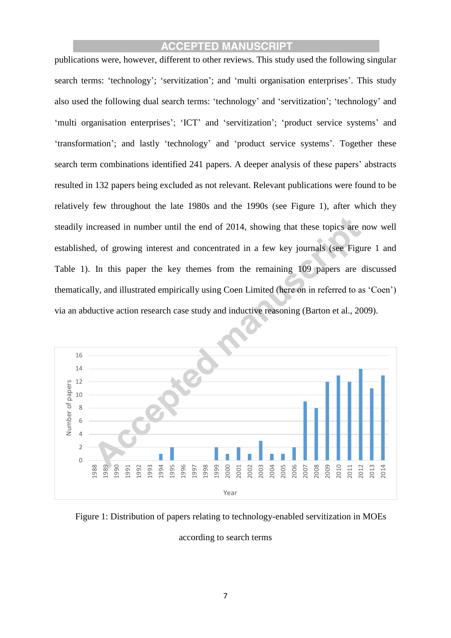publications were, however, different to other reviews. This study used the following singular search terms: 'technology'; 'servitization'; and 'multi organisation enterprises'. This study also used the following dual search terms: 'technology' and 'servitization'; 'technology' and 'multi organisation enterprises'; 'ICT' and 'servitization'; 'product service systems' and 'transformation'; and lastly 'technology' and 'product service systems'. Together these search term combinations identified 241 papers. A deeper analysis of these papers' abstracts resulted in 132 papers being excluded as not relevant. Relevant publications were found to be relatively few throughout the late 1980s and the 1990s (see Figure 1), after which they steadily increased in number until the end of 2014, showing that these topics are now well established, of growing interest and concentrated in a few key journals (see Figure 1 and Table 1). In this paper the key themes from the remaining 109 papers are discussed thematically, and illustrated empirically using Coen Limited (here on in referred to as 'Coen') via an abductive action research case study and inductive reasoning (Barton et al., 2009).



Figure 1: Distribution of papers relating to technology-enabled servitization in MOEs

according to search terms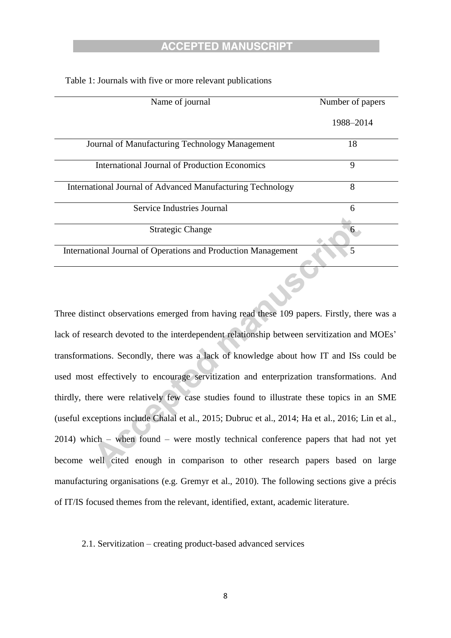| Name of journal                                               | Number of papers |
|---------------------------------------------------------------|------------------|
|                                                               | 1988-2014        |
| Journal of Manufacturing Technology Management                | 18               |
| <b>International Journal of Production Economics</b>          | 9                |
| International Journal of Advanced Manufacturing Technology    | 8                |
| Service Industries Journal                                    | 6                |
| <b>Strategic Change</b>                                       | 6                |
| International Journal of Operations and Production Management | $\overline{5}$   |
|                                                               |                  |

Table 1: Journals with five or more relevant publications

Three distinct observations emerged from having read these 109 papers. Firstly, there was a lack of research devoted to the interdependent relationship between servitization and MOEs' transformations. Secondly, there was a lack of knowledge about how IT and ISs could be used most effectively to encourage servitization and enterprization transformations. And thirdly, there were relatively few case studies found to illustrate these topics in an SME (useful exceptions include Chalal et al., 2015; Dubruc et al., 2014; Ha et al., 2016; Lin et al., 2014) which – when found – were mostly technical conference papers that had not yet become well cited enough in comparison to other research papers based on large manufacturing organisations (e.g. Gremyr et al., 2010). The following sections give a précis of IT/IS focused themes from the relevant, identified, extant, academic literature.

#### 2.1. Servitization – creating product-based advanced services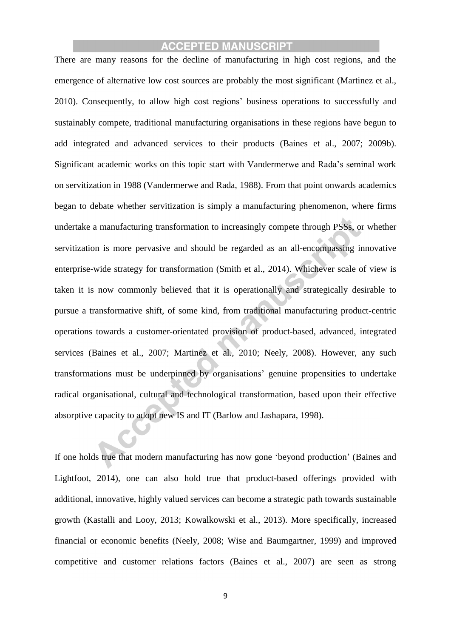There are many reasons for the decline of manufacturing in high cost regions, and the emergence of alternative low cost sources are probably the most significant (Martinez et al., 2010). Consequently, to allow high cost regions' business operations to successfully and sustainably compete, traditional manufacturing organisations in these regions have begun to add integrated and advanced services to their products (Baines et al., 2007; 2009b). Significant academic works on this topic start with Vandermerwe and Rada's seminal work on servitization in 1988 (Vandermerwe and Rada, 1988). From that point onwards academics began to debate whether servitization is simply a manufacturing phenomenon, where firms undertake a manufacturing transformation to increasingly compete through PSSs, or whether servitization is more pervasive and should be regarded as an all-encompassing innovative enterprise-wide strategy for transformation (Smith et al., 2014). Whichever scale of view is taken it is now commonly believed that it is operationally and strategically desirable to pursue a transformative shift, of some kind, from traditional manufacturing product-centric operations towards a customer-orientated provision of product-based, advanced, integrated services (Baines et al., 2007; Martinez et al., 2010; Neely, 2008). However, any such transformations must be underpinned by organisations' genuine propensities to undertake radical organisational, cultural and technological transformation, based upon their effective absorptive capacity to adopt new IS and IT (Barlow and Jashapara, 1998).

If one holds true that modern manufacturing has now gone 'beyond production' (Baines and Lightfoot, 2014), one can also hold true that product-based offerings provided with additional, innovative, highly valued services can become a strategic path towards sustainable growth (Kastalli and Looy, 2013; Kowalkowski et al., 2013). More specifically, increased financial or economic benefits (Neely, 2008; Wise and Baumgartner, 1999) and improved competitive and customer relations factors (Baines et al., 2007) are seen as strong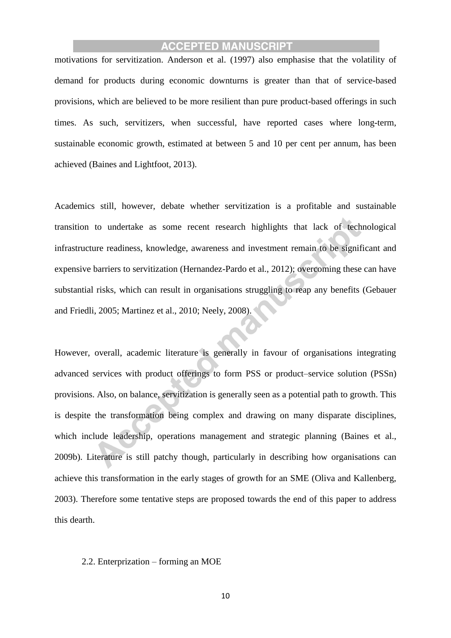motivations for servitization. Anderson et al. (1997) also emphasise that the volatility of demand for products during economic downturns is greater than that of service-based provisions, which are believed to be more resilient than pure product-based offerings in such times. As such, servitizers, when successful, have reported cases where long-term, sustainable economic growth, estimated at between 5 and 10 per cent per annum, has been achieved (Baines and Lightfoot, 2013).

Academics still, however, debate whether servitization is a profitable and sustainable transition to undertake as some recent research highlights that lack of technological infrastructure readiness, knowledge, awareness and investment remain to be significant and expensive barriers to servitization (Hernandez-Pardo et al., 2012); overcoming these can have substantial risks, which can result in organisations struggling to reap any benefits (Gebauer and Friedli, 2005; Martinez et al., 2010; Neely, 2008).

However, overall, academic literature is generally in favour of organisations integrating advanced services with product offerings to form PSS or product–service solution (PSSn) provisions. Also, on balance, servitization is generally seen as a potential path to growth. This is despite the transformation being complex and drawing on many disparate disciplines, which include leadership, operations management and strategic planning (Baines et al., 2009b). Literature is still patchy though, particularly in describing how organisations can achieve this transformation in the early stages of growth for an SME (Oliva and Kallenberg, 2003). Therefore some tentative steps are proposed towards the end of this paper to address this dearth.

#### 2.2. Enterprization – forming an MOE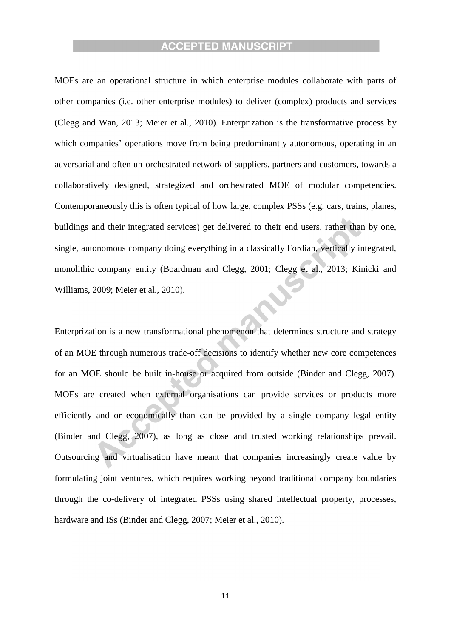MOEs are an operational structure in which enterprise modules collaborate with parts of other companies (i.e. other enterprise modules) to deliver (complex) products and services (Clegg and Wan, 2013; Meier et al., 2010). Enterprization is the transformative process by which companies' operations move from being predominantly autonomous, operating in an adversarial and often un-orchestrated network of suppliers, partners and customers, towards a collaboratively designed, strategized and orchestrated MOE of modular competencies. Contemporaneously this is often typical of how large, complex PSSs (e.g. cars, trains, planes, buildings and their integrated services) get delivered to their end users, rather than by one, single, autonomous company doing everything in a classically Fordian, vertically integrated, monolithic company entity (Boardman and Clegg, 2001; Clegg et al., 2013; Kinicki and Williams, 2009; Meier et al., 2010).

Enterprization is a new transformational phenomenon that determines structure and strategy of an MOE through numerous trade-off decisions to identify whether new core competences for an MOE should be built in-house or acquired from outside (Binder and Clegg, 2007). MOEs are created when external organisations can provide services or products more efficiently and or economically than can be provided by a single company legal entity (Binder and Clegg, 2007), as long as close and trusted working relationships prevail. Outsourcing and virtualisation have meant that companies increasingly create value by formulating joint ventures, which requires working beyond traditional company boundaries through the co-delivery of integrated PSSs using shared intellectual property, processes, hardware and ISs (Binder and Clegg, 2007; Meier et al., 2010).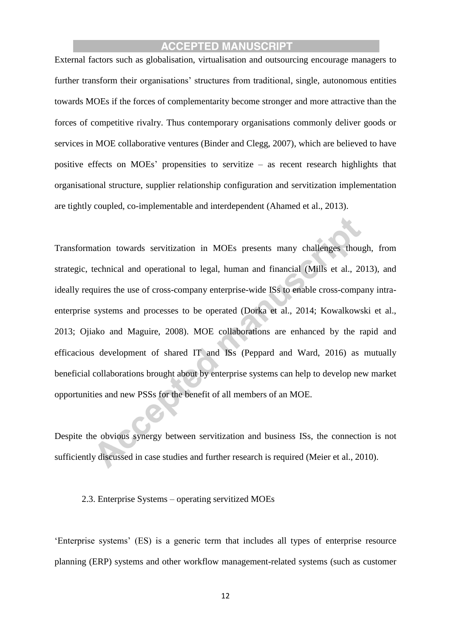External factors such as globalisation, virtualisation and outsourcing encourage managers to further transform their organisations' structures from traditional, single, autonomous entities towards MOEs if the forces of complementarity become stronger and more attractive than the forces of competitive rivalry. Thus contemporary organisations commonly deliver goods or services in MOE collaborative ventures (Binder and Clegg, 2007), which are believed to have positive effects on MOEs' propensities to servitize – as recent research highlights that organisational structure, supplier relationship configuration and servitization implementation are tightly coupled, co-implementable and interdependent (Ahamed et al., 2013).

Transformation towards servitization in MOEs presents many challenges though, from strategic, technical and operational to legal, human and financial (Mills et al., 2013), and ideally requires the use of cross-company enterprise-wide ISs to enable cross-company intraenterprise systems and processes to be operated (Dorka et al., 2014; Kowalkowski et al., 2013; Ojiako and Maguire, 2008). MOE collaborations are enhanced by the rapid and efficacious development of shared IT and ISs (Peppard and Ward, 2016) as mutually beneficial collaborations brought about by enterprise systems can help to develop new market opportunities and new PSSs for the benefit of all members of an MOE.

Despite the obvious synergy between servitization and business ISs, the connection is not sufficiently discussed in case studies and further research is required (Meier et al., 2010).

#### 2.3. Enterprise Systems – operating servitized MOEs

'Enterprise systems' (ES) is a generic term that includes all types of enterprise resource planning (ERP) systems and other workflow management-related systems (such as customer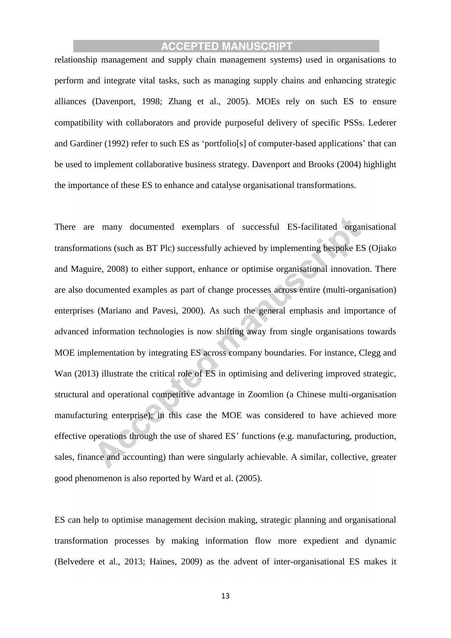relationship management and supply chain management systems) used in organisations to perform and integrate vital tasks, such as managing supply chains and enhancing strategic alliances (Davenport, 1998; Zhang et al., 2005). MOEs rely on such ES to ensure compatibility with collaborators and provide purposeful delivery of specific PSSs. Lederer and Gardiner (1992) refer to such ES as 'portfolio[s] of computer-based applications' that can be used to implement collaborative business strategy. Davenport and Brooks (2004) highlight the importance of these ES to enhance and catalyse organisational transformations.

There are many documented exemplars of successful ES-facilitated organisational transformations (such as BT Plc) successfully achieved by implementing bespoke ES (Ojiako and Maguire, 2008) to either support, enhance or optimise organisational innovation. There are also documented examples as part of change processes across entire (multi-organisation) enterprises (Mariano and Pavesi, 2000). As such the general emphasis and importance of advanced information technologies is now shifting away from single organisations towards MOE implementation by integrating ES across company boundaries. For instance, Clegg and Wan (2013) illustrate the critical role of ES in optimising and delivering improved strategic, structural and operational competitive advantage in Zoomlion (a Chinese multi-organisation manufacturing enterprise); in this case the MOE was considered to have achieved more effective operations through the use of shared ES' functions (e.g. manufacturing, production, sales, finance and accounting) than were singularly achievable. A similar, collective, greater good phenomenon is also reported by Ward et al. (2005).

ES can help to optimise management decision making, strategic planning and organisational transformation processes by making information flow more expedient and dynamic (Belvedere et al., 2013; Haines, 2009) as the advent of inter-organisational ES makes it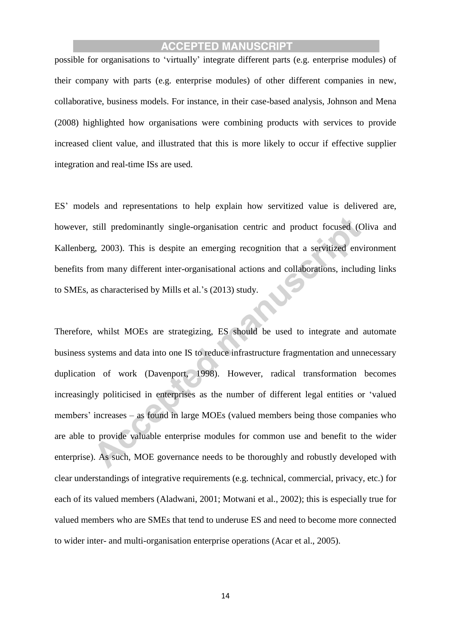possible for organisations to 'virtually' integrate different parts (e.g. enterprise modules) of their company with parts (e.g. enterprise modules) of other different companies in new, collaborative, business models. For instance, in their case-based analysis, Johnson and Mena (2008) highlighted how organisations were combining products with services to provide increased client value, and illustrated that this is more likely to occur if effective supplier integration and real-time ISs are used.

ES' models and representations to help explain how servitized value is delivered are, however, still predominantly single-organisation centric and product focused (Oliva and Kallenberg, 2003). This is despite an emerging recognition that a servitized environment benefits from many different inter-organisational actions and collaborations, including links to SMEs, as characterised by Mills et al.'s (2013) study.

Therefore, whilst MOEs are strategizing, ES should be used to integrate and automate business systems and data into one IS to reduce infrastructure fragmentation and unnecessary duplication of work (Davenport, 1998). However, radical transformation becomes increasingly politicised in enterprises as the number of different legal entities or 'valued members' increases – as found in large MOEs (valued members being those companies who are able to provide valuable enterprise modules for common use and benefit to the wider enterprise). As such, MOE governance needs to be thoroughly and robustly developed with clear understandings of integrative requirements (e.g. technical, commercial, privacy, etc.) for each of its valued members (Aladwani, 2001; Motwani et al., 2002); this is especially true for valued members who are SMEs that tend to underuse ES and need to become more connected to wider inter- and multi-organisation enterprise operations (Acar et al., 2005).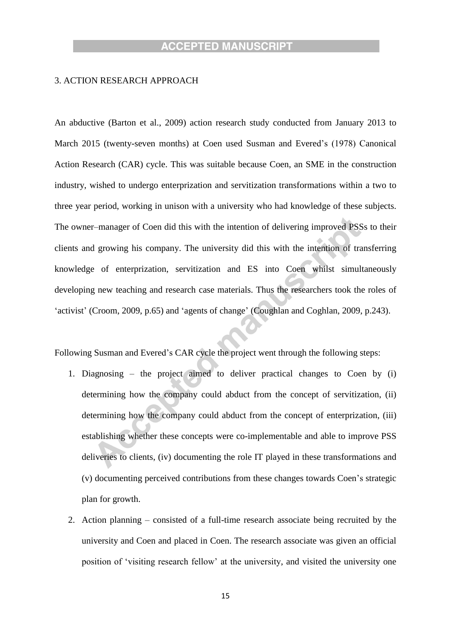#### 3. ACTION RESEARCH APPROACH

An abductive (Barton et al., 2009) action research study conducted from January 2013 to March 2015 (twenty-seven months) at Coen used Susman and Evered's (1978) Canonical Action Research (CAR) cycle. This was suitable because Coen, an SME in the construction industry, wished to undergo enterprization and servitization transformations within a two to three year period, working in unison with a university who had knowledge of these subjects. The owner–manager of Coen did this with the intention of delivering improved PSSs to their clients and growing his company. The university did this with the intention of transferring knowledge of enterprization, servitization and ES into Coen whilst simultaneously developing new teaching and research case materials. Thus the researchers took the roles of 'activist' (Croom, 2009, p.65) and 'agents of change' (Coughlan and Coghlan, 2009, p.243).

Following Susman and Evered's CAR cycle the project went through the following steps:

- 1. Diagnosing the project aimed to deliver practical changes to Coen by (i) determining how the company could abduct from the concept of servitization, (ii) determining how the company could abduct from the concept of enterprization, (iii) establishing whether these concepts were co-implementable and able to improve PSS deliveries to clients, (iv) documenting the role IT played in these transformations and (v) documenting perceived contributions from these changes towards Coen's strategic plan for growth.
- 2. Action planning consisted of a full-time research associate being recruited by the university and Coen and placed in Coen. The research associate was given an official position of 'visiting research fellow' at the university, and visited the university one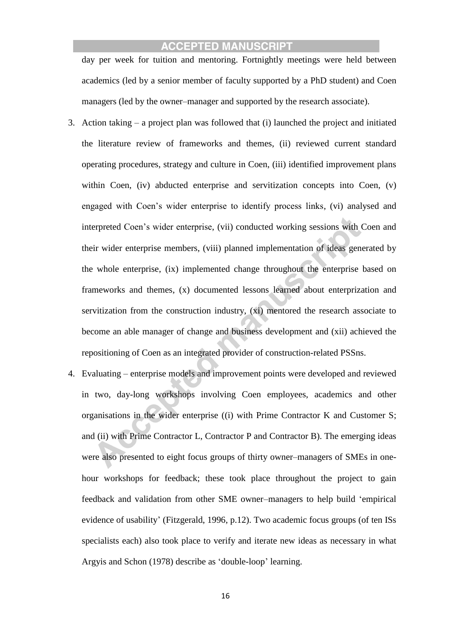day per week for tuition and mentoring. Fortnightly meetings were held between academics (led by a senior member of faculty supported by a PhD student) and Coen managers (led by the owner–manager and supported by the research associate).

- 3. Action taking a project plan was followed that (i) launched the project and initiated the literature review of frameworks and themes, (ii) reviewed current standard operating procedures, strategy and culture in Coen, (iii) identified improvement plans within Coen, (iv) abducted enterprise and servitization concepts into Coen, (v) engaged with Coen's wider enterprise to identify process links, (vi) analysed and interpreted Coen's wider enterprise, (vii) conducted working sessions with Coen and their wider enterprise members, (viii) planned implementation of ideas generated by the whole enterprise, (ix) implemented change throughout the enterprise based on frameworks and themes, (x) documented lessons learned about enterprization and servitization from the construction industry, (xi) mentored the research associate to become an able manager of change and business development and (xii) achieved the repositioning of Coen as an integrated provider of construction-related PSSns.
- 4. Evaluating enterprise models and improvement points were developed and reviewed in two, day-long workshops involving Coen employees, academics and other organisations in the wider enterprise ((i) with Prime Contractor K and Customer S; and (ii) with Prime Contractor L, Contractor P and Contractor B). The emerging ideas were also presented to eight focus groups of thirty owner–managers of SMEs in onehour workshops for feedback; these took place throughout the project to gain feedback and validation from other SME owner–managers to help build 'empirical evidence of usability' (Fitzgerald, 1996, p.12). Two academic focus groups (of ten ISs specialists each) also took place to verify and iterate new ideas as necessary in what Argyis and Schon (1978) describe as 'double-loop' learning.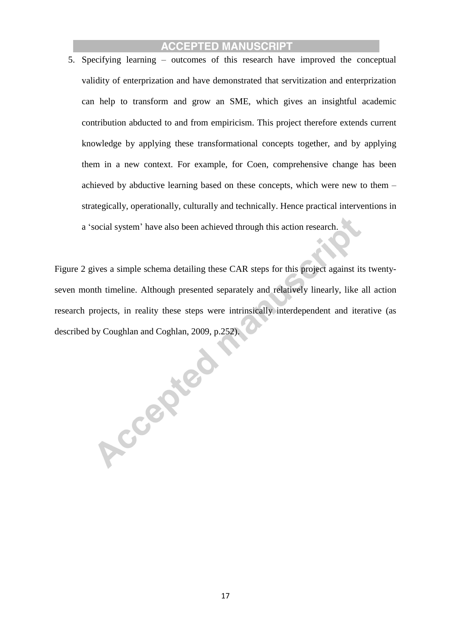5. Specifying learning – outcomes of this research have improved the conceptual validity of enterprization and have demonstrated that servitization and enterprization can help to transform and grow an SME, which gives an insightful academic contribution abducted to and from empiricism. This project therefore extends current knowledge by applying these transformational concepts together, and by applying them in a new context. For example, for Coen, comprehensive change has been achieved by abductive learning based on these concepts, which were new to them – strategically, operationally, culturally and technically. Hence practical interventions in a 'social system' have also been achieved through this action research.

Figure 2 gives a simple schema detailing these CAR steps for this project against its twentyseven month timeline. Although presented separately and relatively linearly, like all action research projects, in reality these steps were intrinsically interdependent and iterative (as described by Coughlan and Coghlan, 2009, p.252).

Accepted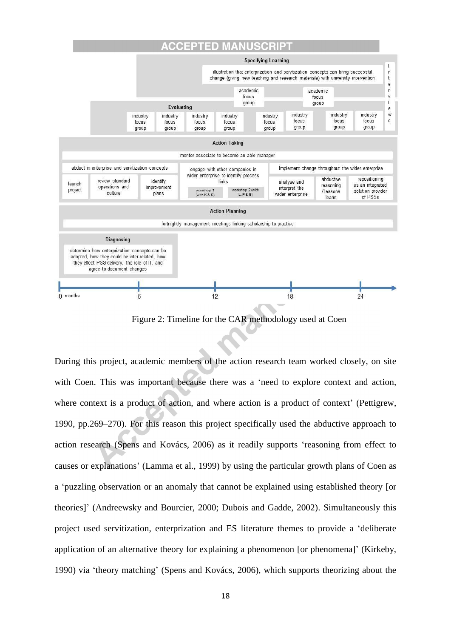#### ACCEPTED MAN **IUSCR**



Figure 2: Timeline for the CAR methodology used at Coen

During this project, academic members of the action research team worked closely, on site with Coen. This was important because there was a 'need to explore context and action, where context is a product of action, and where action is a product of context' (Pettigrew, 1990, pp.269–270). For this reason this project specifically used the abductive approach to action research (Spens and Kovács, 2006) as it readily supports 'reasoning from effect to causes or explanations' (Lamma et al., 1999) by using the particular growth plans of Coen as a 'puzzling observation or an anomaly that cannot be explained using established theory [or theories]' (Andreewsky and Bourcier, 2000; Dubois and Gadde, 2002). Simultaneously this project used servitization, enterprization and ES literature themes to provide a 'deliberate application of an alternative theory for explaining a phenomenon [or phenomena]' (Kirkeby, 1990) via 'theory matching' (Spens and Kovács, 2006), which supports theorizing about the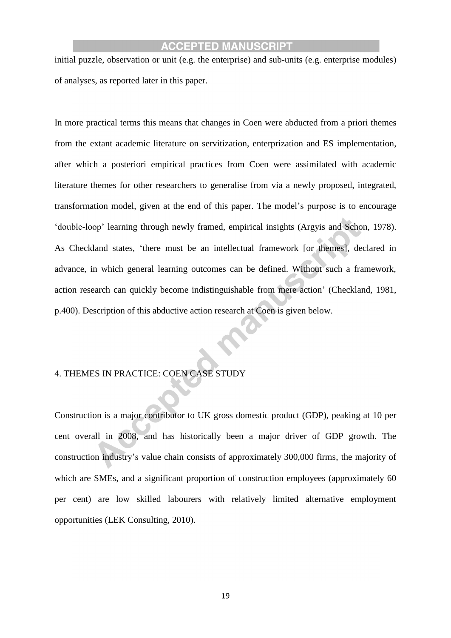initial puzzle, observation or unit (e.g. the enterprise) and sub-units (e.g. enterprise modules) of analyses, as reported later in this paper.

In more practical terms this means that changes in Coen were abducted from a priori themes from the extant academic literature on servitization, enterprization and ES implementation, after which a posteriori empirical practices from Coen were assimilated with academic literature themes for other researchers to generalise from via a newly proposed, integrated, transformation model, given at the end of this paper. The model's purpose is to encourage 'double-loop' learning through newly framed, empirical insights (Argyis and Schon, 1978). As Checkland states, 'there must be an intellectual framework [or themes], declared in advance, in which general learning outcomes can be defined. Without such a framework, action research can quickly become indistinguishable from mere action' (Checkland, 1981, p.400). Description of this abductive action research at Coen is given below.

#### 4. THEMES IN PRACTICE: COEN CASE STUDY

Construction is a major contributor to UK gross domestic product (GDP), peaking at 10 per cent overall in 2008, and has historically been a major driver of GDP growth. The construction industry's value chain consists of approximately 300,000 firms, the majority of which are SMEs, and a significant proportion of construction employees (approximately 60) per cent) are low skilled labourers with relatively limited alternative employment opportunities (LEK Consulting, 2010).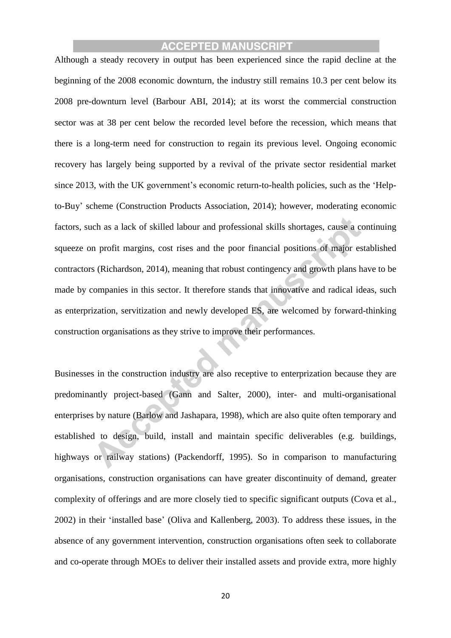Although a steady recovery in output has been experienced since the rapid decline at the beginning of the 2008 economic downturn, the industry still remains 10.3 per cent below its 2008 pre-downturn level (Barbour ABI, 2014); at its worst the commercial construction sector was at 38 per cent below the recorded level before the recession, which means that there is a long-term need for construction to regain its previous level. Ongoing economic recovery has largely being supported by a revival of the private sector residential market since 2013, with the UK government's economic return-to-health policies, such as the 'Helpto-Buy' scheme (Construction Products Association, 2014); however, moderating economic factors, such as a lack of skilled labour and professional skills shortages, cause a continuing squeeze on profit margins, cost rises and the poor financial positions of major established contractors (Richardson, 2014), meaning that robust contingency and growth plans have to be made by companies in this sector. It therefore stands that innovative and radical ideas, such as enterprization, servitization and newly developed ES, are welcomed by forward-thinking construction organisations as they strive to improve their performances.

Businesses in the construction industry are also receptive to enterprization because they are predominantly project-based (Gann and Salter, 2000), inter- and multi-organisational enterprises by nature (Barlow and Jashapara, 1998), which are also quite often temporary and established to design, build, install and maintain specific deliverables (e.g. buildings, highways or railway stations) (Packendorff, 1995). So in comparison to manufacturing organisations, construction organisations can have greater discontinuity of demand, greater complexity of offerings and are more closely tied to specific significant outputs (Cova et al., 2002) in their 'installed base' (Oliva and Kallenberg, 2003). To address these issues, in the absence of any government intervention, construction organisations often seek to collaborate and co-operate through MOEs to deliver their installed assets and provide extra, more highly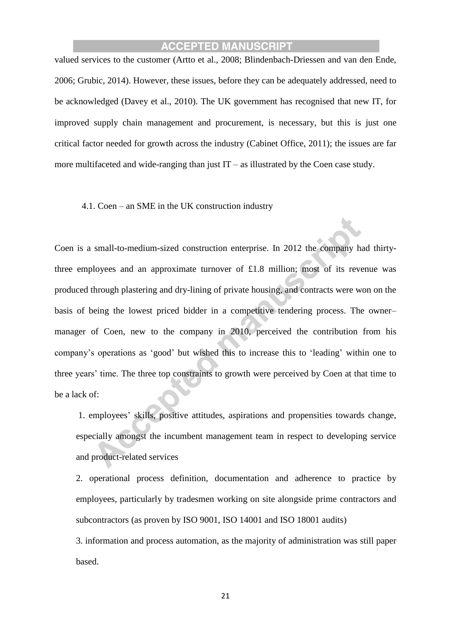valued services to the customer (Artto et al., 2008; Blindenbach-Driessen and van den Ende, 2006; Grubic, 2014). However, these issues, before they can be adequately addressed, need to be acknowledged (Davey et al., 2010). The UK government has recognised that new IT, for improved supply chain management and procurement, is necessary, but this is just one critical factor needed for growth across the industry (Cabinet Office, 2011); the issues are far more multifaceted and wide-ranging than just  $IT - as$  illustrated by the Coen case study.

#### 4.1. Coen – an SME in the UK construction industry

Coen is a small-to-medium-sized construction enterprise. In 2012 the company had thirtythree employees and an approximate turnover of £1.8 million; most of its revenue was produced through plastering and dry-lining of private housing, and contracts were won on the basis of being the lowest priced bidder in a competitive tendering process. The owner– manager of Coen, new to the company in 2010, perceived the contribution from his company's operations as 'good' but wished this to increase this to 'leading' within one to three years' time. The three top constraints to growth were perceived by Coen at that time to be a lack of:

1. employees' skills, positive attitudes, aspirations and propensities towards change, especially amongst the incumbent management team in respect to developing service and product-related services

2. operational process definition, documentation and adherence to practice by employees, particularly by tradesmen working on site alongside prime contractors and subcontractors (as proven by ISO 9001, ISO 14001 and ISO 18001 audits)

3. information and process automation, as the majority of administration was still paper based.

21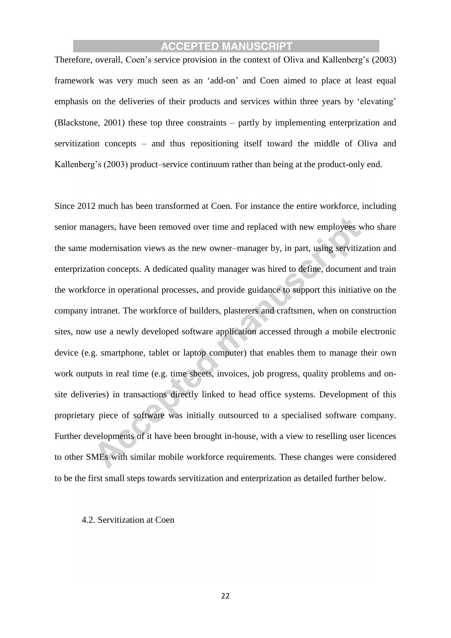Therefore, overall, Coen's service provision in the context of Oliva and Kallenberg's (2003) framework was very much seen as an 'add-on' and Coen aimed to place at least equal emphasis on the deliveries of their products and services within three years by 'elevating' (Blackstone, 2001) these top three constraints – partly by implementing enterprization and servitization concepts – and thus repositioning itself toward the middle of Oliva and Kallenberg's (2003) product–service continuum rather than being at the product-only end.

Since 2012 much has been transformed at Coen. For instance the entire workforce, including senior managers, have been removed over time and replaced with new employees who share the same modernisation views as the new owner–manager by, in part, using servitization and enterprization concepts. A dedicated quality manager was hired to define, document and train the workforce in operational processes, and provide guidance to support this initiative on the company intranet. The workforce of builders, plasterers and craftsmen, when on construction sites, now use a newly developed software application accessed through a mobile electronic device (e.g. smartphone, tablet or laptop computer) that enables them to manage their own work outputs in real time (e.g. time sheets, invoices, job progress, quality problems and onsite deliveries) in transactions directly linked to head office systems. Development of this proprietary piece of software was initially outsourced to a specialised software company. Further developments of it have been brought in-house, with a view to reselling user licences to other SMEs with similar mobile workforce requirements. These changes were considered to be the first small steps towards servitization and enterprization as detailed further below.

#### 4.2. Servitization at Coen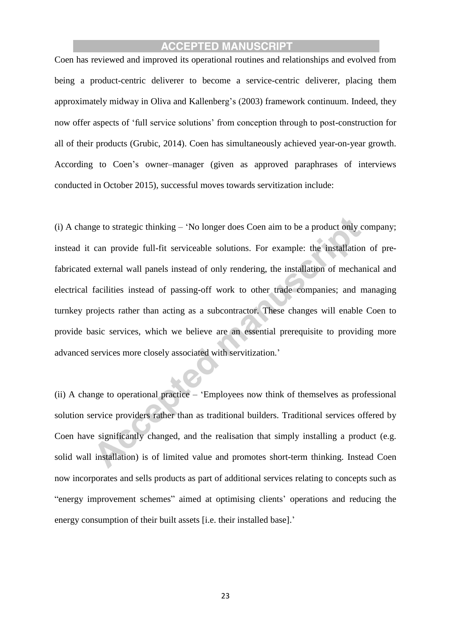Coen has reviewed and improved its operational routines and relationships and evolved from being a product-centric deliverer to become a service-centric deliverer, placing them approximately midway in Oliva and Kallenberg's (2003) framework continuum. Indeed, they now offer aspects of 'full service solutions' from conception through to post-construction for all of their products (Grubic, 2014). Coen has simultaneously achieved year-on-year growth. According to Coen's owner–manager (given as approved paraphrases of interviews conducted in October 2015), successful moves towards servitization include:

(i) A change to strategic thinking – 'No longer does Coen aim to be a product only company; instead it can provide full-fit serviceable solutions. For example: the installation of prefabricated external wall panels instead of only rendering, the installation of mechanical and electrical facilities instead of passing-off work to other trade companies; and managing turnkey projects rather than acting as a subcontractor. These changes will enable Coen to provide basic services, which we believe are an essential prerequisite to providing more advanced services more closely associated with servitization.'

(ii) A change to operational practice – 'Employees now think of themselves as professional solution service providers rather than as traditional builders. Traditional services offered by Coen have significantly changed, and the realisation that simply installing a product (e.g. solid wall installation) is of limited value and promotes short-term thinking. Instead Coen now incorporates and sells products as part of additional services relating to concepts such as "energy improvement schemes" aimed at optimising clients' operations and reducing the energy consumption of their built assets [i.e. their installed base].'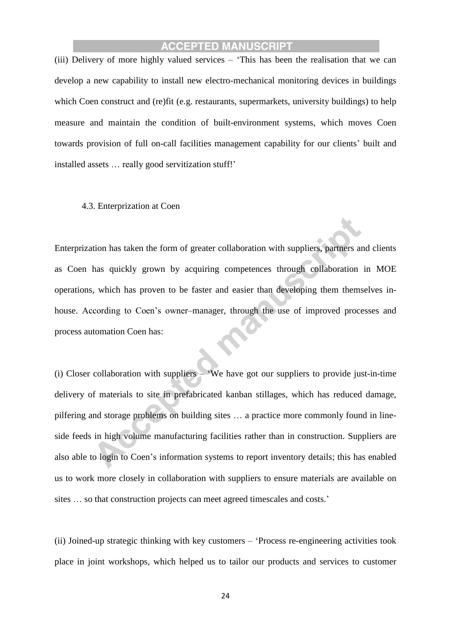(iii) Delivery of more highly valued services – 'This has been the realisation that we can develop a new capability to install new electro-mechanical monitoring devices in buildings which Coen construct and (re)fit (e.g. restaurants, supermarkets, university buildings) to help measure and maintain the condition of built-environment systems, which moves Coen towards provision of full on-call facilities management capability for our clients' built and installed assets … really good servitization stuff!'

#### 4.3. Enterprization at Coen

Enterprization has taken the form of greater collaboration with suppliers, partners and clients as Coen has quickly grown by acquiring competences through collaboration in MOE operations, which has proven to be faster and easier than developing them themselves inhouse. According to Coen's owner–manager, through the use of improved processes and process automation Coen has:

(i) Closer collaboration with suppliers – 'We have got our suppliers to provide just-in-time delivery of materials to site in prefabricated kanban stillages, which has reduced damage, pilfering and storage problems on building sites … a practice more commonly found in lineside feeds in high volume manufacturing facilities rather than in construction. Suppliers are also able to login to Coen's information systems to report inventory details; this has enabled us to work more closely in collaboration with suppliers to ensure materials are available on sites … so that construction projects can meet agreed timescales and costs.'

(ii) Joined-up strategic thinking with key customers – 'Process re-engineering activities took place in joint workshops, which helped us to tailor our products and services to customer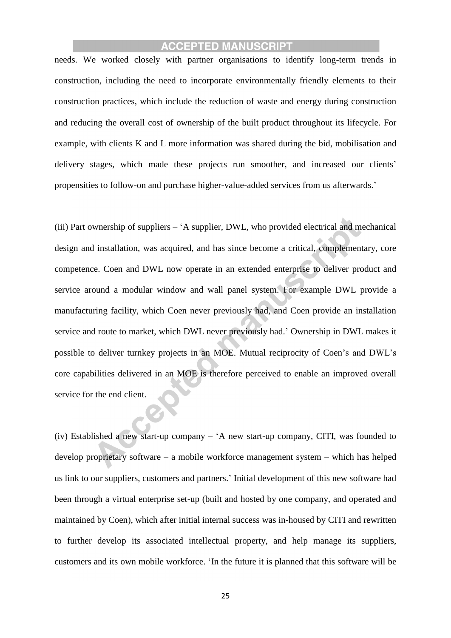needs. We worked closely with partner organisations to identify long-term trends in construction, including the need to incorporate environmentally friendly elements to their construction practices, which include the reduction of waste and energy during construction and reducing the overall cost of ownership of the built product throughout its lifecycle. For example, with clients K and L more information was shared during the bid, mobilisation and delivery stages, which made these projects run smoother, and increased our clients' propensities to follow-on and purchase higher-value-added services from us afterwards.'

(iii) Part ownership of suppliers – 'A supplier, DWL, who provided electrical and mechanical design and installation, was acquired, and has since become a critical, complementary, core competence. Coen and DWL now operate in an extended enterprise to deliver product and service around a modular window and wall panel system. For example DWL provide a manufacturing facility, which Coen never previously had, and Coen provide an installation service and route to market, which DWL never previously had.' Ownership in DWL makes it possible to deliver turnkey projects in an MOE. Mutual reciprocity of Coen's and DWL's core capabilities delivered in an MOE is therefore perceived to enable an improved overall service for the end client.

(iv) Established a new start-up company – 'A new start-up company, CITI, was founded to develop proprietary software – a mobile workforce management system – which has helped us link to our suppliers, customers and partners.' Initial development of this new software had been through a virtual enterprise set-up (built and hosted by one company, and operated and maintained by Coen), which after initial internal success was in-housed by CITI and rewritten to further develop its associated intellectual property, and help manage its suppliers, customers and its own mobile workforce. 'In the future it is planned that this software will be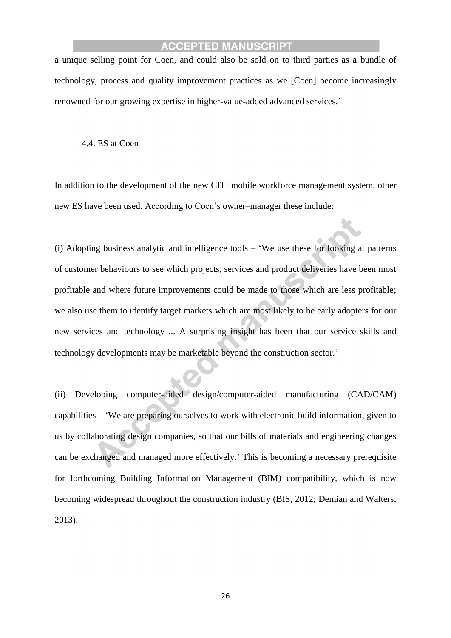a unique selling point for Coen, and could also be sold on to third parties as a bundle of technology, process and quality improvement practices as we [Coen] become increasingly renowned for our growing expertise in higher-value-added advanced services.'

4.4. ES at Coen

In addition to the development of the new CITI mobile workforce management system, other new ES have been used. According to Coen's owner–manager these include:

(i) Adopting business analytic and intelligence tools – 'We use these for looking at patterns of customer behaviours to see which projects, services and product deliveries have been most profitable and where future improvements could be made to those which are less profitable; we also use them to identify target markets which are most likely to be early adopters for our new services and technology ... A surprising insight has been that our service skills and technology developments may be marketable beyond the construction sector.'

(ii) Developing computer-aided design/computer-aided manufacturing (CAD/CAM) capabilities – 'We are preparing ourselves to work with electronic build information, given to us by collaborating design companies, so that our bills of materials and engineering changes can be exchanged and managed more effectively.' This is becoming a necessary prerequisite for forthcoming Building Information Management (BIM) compatibility, which is now becoming widespread throughout the construction industry (BIS, 2012; Demian and Walters; 2013).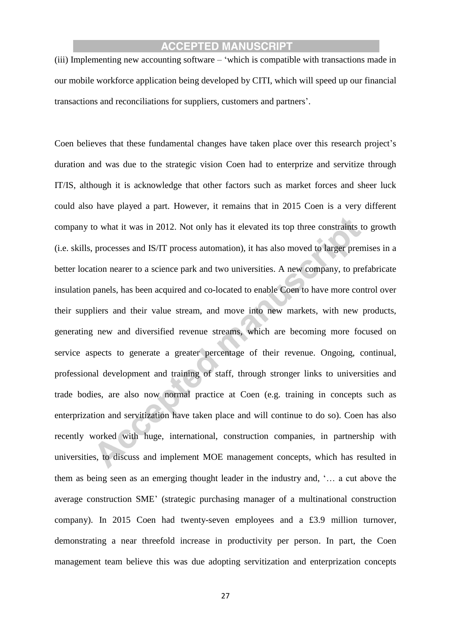(iii) Implementing new accounting software – 'which is compatible with transactions made in our mobile workforce application being developed by CITI, which will speed up our financial transactions and reconciliations for suppliers, customers and partners'.

Coen believes that these fundamental changes have taken place over this research project's duration and was due to the strategic vision Coen had to enterprize and servitize through IT/IS, although it is acknowledge that other factors such as market forces and sheer luck could also have played a part. However, it remains that in 2015 Coen is a very different company to what it was in 2012. Not only has it elevated its top three constraints to growth (i.e. skills, processes and IS/IT process automation), it has also moved to larger premises in a better location nearer to a science park and two universities. A new company, to prefabricate insulation panels, has been acquired and co-located to enable Coen to have more control over their suppliers and their value stream, and move into new markets, with new products, generating new and diversified revenue streams, which are becoming more focused on service aspects to generate a greater percentage of their revenue. Ongoing, continual, professional development and training of staff, through stronger links to universities and trade bodies, are also now normal practice at Coen (e.g. training in concepts such as enterprization and servitization have taken place and will continue to do so). Coen has also recently worked with huge, international, construction companies, in partnership with universities, to discuss and implement MOE management concepts, which has resulted in them as being seen as an emerging thought leader in the industry and, '… a cut above the average construction SME' (strategic purchasing manager of a multinational construction company). In 2015 Coen had twenty-seven employees and a £3.9 million turnover, demonstrating a near threefold increase in productivity per person. In part, the Coen management team believe this was due adopting servitization and enterprization concepts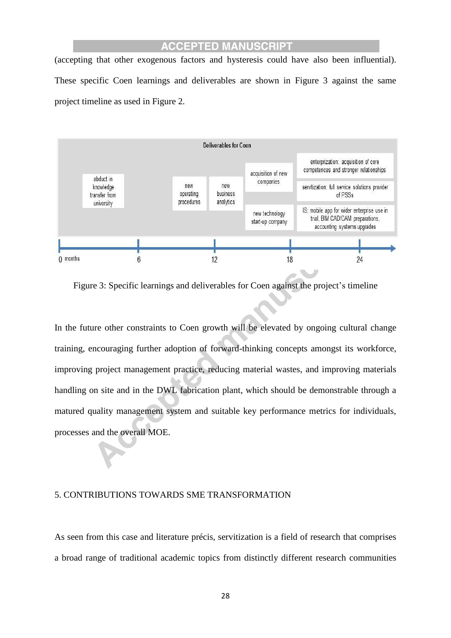(accepting that other exogenous factors and hysteresis could have also been influential). These specific Coen learnings and deliverables are shown in Figure 3 against the same project timeline as used in Figure 2.



Figure 3: Specific learnings and deliverables for Coen against the project's timeline

In the future other constraints to Coen growth will be elevated by ongoing cultural change training, encouraging further adoption of forward-thinking concepts amongst its workforce, improving project management practice, reducing material wastes, and improving materials handling on site and in the DWL fabrication plant, which should be demonstrable through a matured quality management system and suitable key performance metrics for individuals, processes and the overall MOE.

#### 5. CONTRIBUTIONS TOWARDS SME TRANSFORMATION

As seen from this case and literature précis, servitization is a field of research that comprises a broad range of traditional academic topics from distinctly different research communities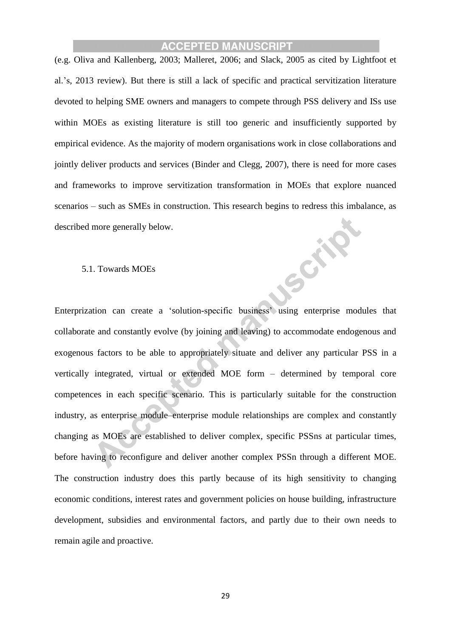(e.g. Oliva and Kallenberg, 2003; Malleret, 2006; and Slack, 2005 as cited by Lightfoot et al.'s, 2013 review). But there is still a lack of specific and practical servitization literature devoted to helping SME owners and managers to compete through PSS delivery and ISs use within MOEs as existing literature is still too generic and insufficiently supported by empirical evidence. As the majority of modern organisations work in close collaborations and jointly deliver products and services (Binder and Clegg, 2007), there is need for more cases and frameworks to improve servitization transformation in MOEs that explore nuanced scenarios – such as SMEs in construction. This research begins to redress this imbalance, as described more generally below. Series

#### 5.1. Towards MOEs

Enterprization can create a 'solution-specific business' using enterprise modules that collaborate and constantly evolve (by joining and leaving) to accommodate endogenous and exogenous factors to be able to appropriately situate and deliver any particular PSS in a vertically integrated, virtual or extended MOE form – determined by temporal core competences in each specific scenario. This is particularly suitable for the construction industry, as enterprise module–enterprise module relationships are complex and constantly changing as MOEs are established to deliver complex, specific PSSns at particular times, before having to reconfigure and deliver another complex PSSn through a different MOE. The construction industry does this partly because of its high sensitivity to changing economic conditions, interest rates and government policies on house building, infrastructure development, subsidies and environmental factors, and partly due to their own needs to remain agile and proactive.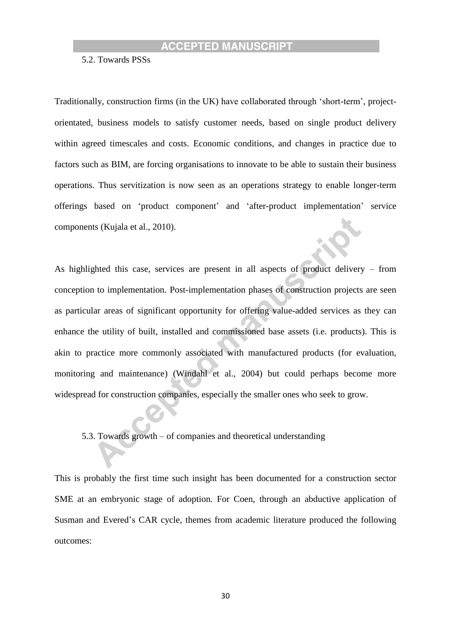5.2. Towards PSSs

Traditionally, construction firms (in the UK) have collaborated through 'short-term', projectorientated, business models to satisfy customer needs, based on single product delivery within agreed timescales and costs. Economic conditions, and changes in practice due to factors such as BIM, are forcing organisations to innovate to be able to sustain their business operations. Thus servitization is now seen as an operations strategy to enable longer-term offerings based on 'product component' and 'after-product implementation' service components (Kujala et al., 2010).

As highlighted this case, services are present in all aspects of product delivery – from conception to implementation. Post-implementation phases of construction projects are seen as particular areas of significant opportunity for offering value-added services as they can enhance the utility of built, installed and commissioned base assets (i.e. products). This is akin to practice more commonly associated with manufactured products (for evaluation, monitoring and maintenance) (Windahl et al., 2004) but could perhaps become more widespread for construction companies, especially the smaller ones who seek to grow.

5.3. Towards growth – of companies and theoretical understanding

This is probably the first time such insight has been documented for a construction sector SME at an embryonic stage of adoption. For Coen, through an abductive application of Susman and Evered's CAR cycle, themes from academic literature produced the following outcomes: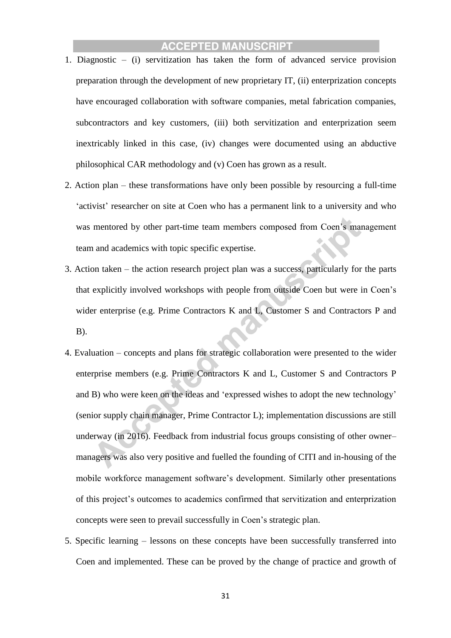- 1. Diagnostic (i) servitization has taken the form of advanced service provision preparation through the development of new proprietary IT, (ii) enterprization concepts have encouraged collaboration with software companies, metal fabrication companies, subcontractors and key customers, (iii) both servitization and enterprization seem inextricably linked in this case, (iv) changes were documented using an abductive philosophical CAR methodology and (v) Coen has grown as a result.
- 2. Action plan these transformations have only been possible by resourcing a full-time 'activist' researcher on site at Coen who has a permanent link to a university and who was mentored by other part-time team members composed from Coen's management team and academics with topic specific expertise.
- 3. Action taken the action research project plan was a success, particularly for the parts that explicitly involved workshops with people from outside Coen but were in Coen's wider enterprise (e.g. Prime Contractors K and L, Customer S and Contractors P and B).
- 4. Evaluation concepts and plans for strategic collaboration were presented to the wider enterprise members (e.g. Prime Contractors K and L, Customer S and Contractors P and B) who were keen on the ideas and 'expressed wishes to adopt the new technology' (senior supply chain manager, Prime Contractor L); implementation discussions are still underway (in 2016). Feedback from industrial focus groups consisting of other owner– managers was also very positive and fuelled the founding of CITI and in-housing of the mobile workforce management software's development. Similarly other presentations of this project's outcomes to academics confirmed that servitization and enterprization concepts were seen to prevail successfully in Coen's strategic plan.
- 5. Specific learning lessons on these concepts have been successfully transferred into Coen and implemented. These can be proved by the change of practice and growth of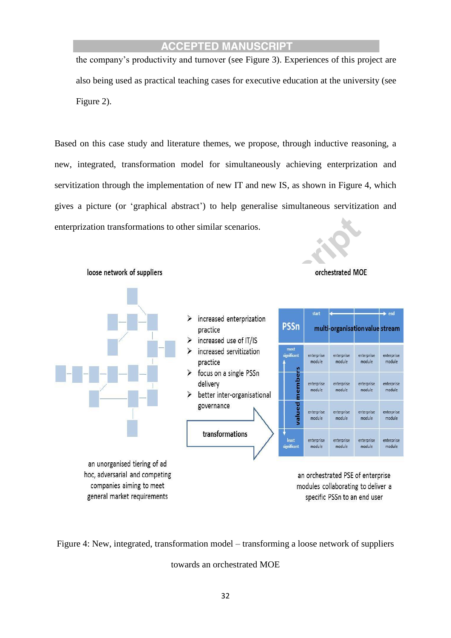the company's productivity and turnover (see Figure 3). Experiences of this project are also being used as practical teaching cases for executive education at the university (see Figure 2).

Based on this case study and literature themes, we propose, through inductive reasoning, a new, integrated, transformation model for simultaneously achieving enterprization and servitization through the implementation of new IT and new IS, as shown in Figure 4, which gives a picture (or 'graphical abstract') to help generalise simultaneous servitization and enterprization transformations to other similar scenarios.



Figure 4: New, integrated, transformation model – transforming a loose network of suppliers

towards an orchestrated MOE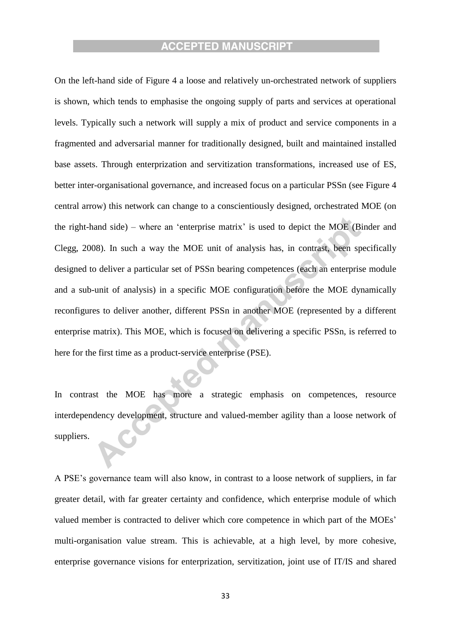On the left-hand side of Figure 4 a loose and relatively un-orchestrated network of suppliers is shown, which tends to emphasise the ongoing supply of parts and services at operational levels. Typically such a network will supply a mix of product and service components in a fragmented and adversarial manner for traditionally designed, built and maintained installed base assets. Through enterprization and servitization transformations, increased use of ES, better inter-organisational governance, and increased focus on a particular PSSn (see Figure 4 central arrow) this network can change to a conscientiously designed, orchestrated MOE (on the right-hand side) – where an 'enterprise matrix' is used to depict the MOE (Binder and Clegg, 2008). In such a way the MOE unit of analysis has, in contrast, been specifically designed to deliver a particular set of PSSn bearing competences (each an enterprise module and a sub-unit of analysis) in a specific MOE configuration before the MOE dynamically reconfigures to deliver another, different PSSn in another MOE (represented by a different enterprise matrix). This MOE, which is focused on delivering a specific PSSn, is referred to here for the first time as a product-service enterprise (PSE).

In contrast the MOE has more a strategic emphasis on competences, resource interdependency development, structure and valued-member agility than a loose network of suppliers.

A PSE's governance team will also know, in contrast to a loose network of suppliers, in far greater detail, with far greater certainty and confidence, which enterprise module of which valued member is contracted to deliver which core competence in which part of the MOEs' multi-organisation value stream. This is achievable, at a high level, by more cohesive, enterprise governance visions for enterprization, servitization, joint use of IT/IS and shared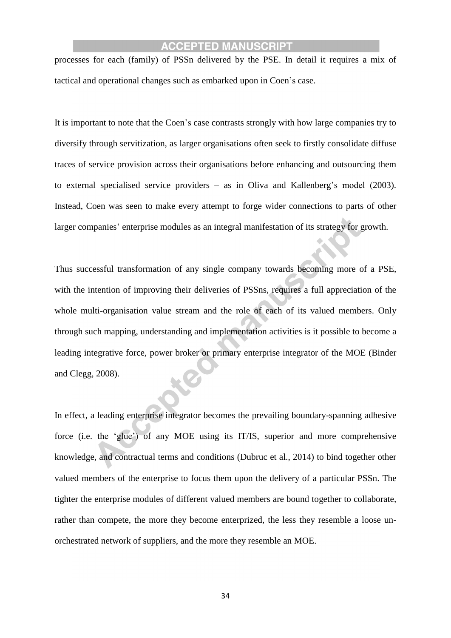processes for each (family) of PSSn delivered by the PSE. In detail it requires a mix of tactical and operational changes such as embarked upon in Coen's case.

It is important to note that the Coen's case contrasts strongly with how large companies try to diversify through servitization, as larger organisations often seek to firstly consolidate diffuse traces of service provision across their organisations before enhancing and outsourcing them to external specialised service providers – as in Oliva and Kallenberg's model (2003). Instead, Coen was seen to make every attempt to forge wider connections to parts of other larger companies' enterprise modules as an integral manifestation of its strategy for growth.

Thus successful transformation of any single company towards becoming more of a PSE, with the intention of improving their deliveries of PSSns, requires a full appreciation of the whole multi-organisation value stream and the role of each of its valued members. Only through such mapping, understanding and implementation activities is it possible to become a leading integrative force, power broker or primary enterprise integrator of the MOE (Binder and Clegg, 2008).

In effect, a leading enterprise integrator becomes the prevailing boundary-spanning adhesive force (i.e. the 'glue') of any MOE using its IT/IS, superior and more comprehensive knowledge, and contractual terms and conditions (Dubruc et al., 2014) to bind together other valued members of the enterprise to focus them upon the delivery of a particular PSSn. The tighter the enterprise modules of different valued members are bound together to collaborate, rather than compete, the more they become enterprized, the less they resemble a loose unorchestrated network of suppliers, and the more they resemble an MOE.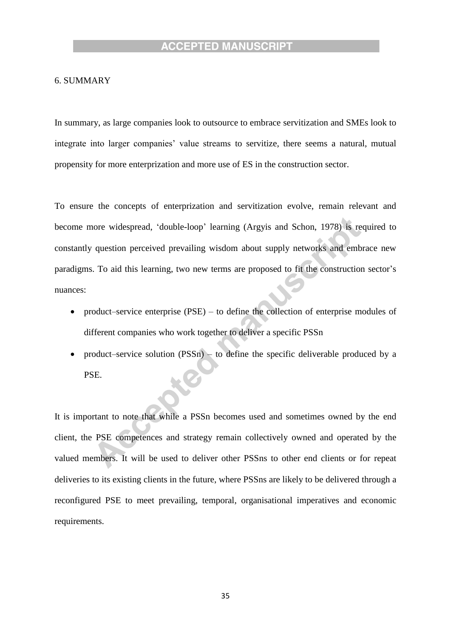#### 6. SUMMARY

In summary, as large companies look to outsource to embrace servitization and SMEs look to integrate into larger companies' value streams to servitize, there seems a natural, mutual propensity for more enterprization and more use of ES in the construction sector.

To ensure the concepts of enterprization and servitization evolve, remain relevant and become more widespread, 'double-loop' learning (Argyis and Schon, 1978) is required to constantly question perceived prevailing wisdom about supply networks and embrace new paradigms. To aid this learning, two new terms are proposed to fit the construction sector's nuances:

- product–service enterprise  $(PSE)$  to define the collection of enterprise modules of different companies who work together to deliver a specific PSSn
- product–service solution (PSSn) to define the specific deliverable produced by a PSE.

It is important to note that while a PSSn becomes used and sometimes owned by the end client, the PSE competences and strategy remain collectively owned and operated by the valued members. It will be used to deliver other PSSns to other end clients or for repeat deliveries to its existing clients in the future, where PSSns are likely to be delivered through a reconfigured PSE to meet prevailing, temporal, organisational imperatives and economic requirements.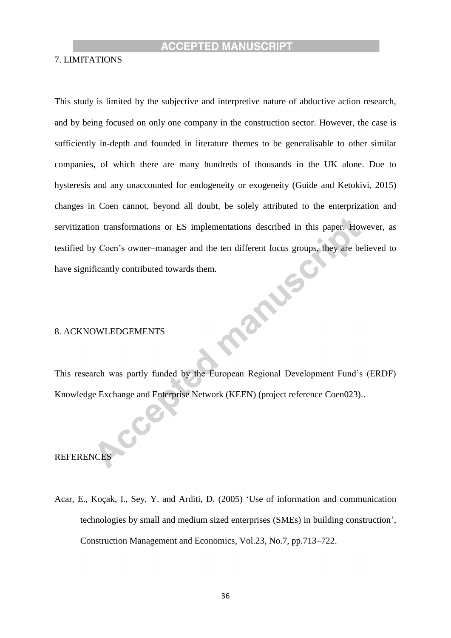#### 7. LIMITATIONS

This study is limited by the subjective and interpretive nature of abductive action research, and by being focused on only one company in the construction sector. However, the case is sufficiently in-depth and founded in literature themes to be generalisable to other similar companies, of which there are many hundreds of thousands in the UK alone. Due to hysteresis and any unaccounted for endogeneity or exogeneity (Guide and Ketokivi, 2015) changes in Coen cannot, beyond all doubt, be solely attributed to the enterprization and servitization transformations or ES implementations described in this paper. However, as testified by Coen's owner–manager and the ten different focus groups, they are believed to<br>have significantly contributed towards them.<br>8. ACKNOWLEDGEMENTS have significantly contributed towards them.

#### 8. ACKNOWLEDGEMENTS

CC

This research was partly funded by the European Regional Development Fund's (ERDF) Knowledge Exchange and Enterprise Network (KEEN) (project reference Coen023)..

### REFERENCES

Acar, E., Koçak, I., Sey, Y. and Arditi, D. (2005) 'Use of information and communication technologies by small and medium sized enterprises (SMEs) in building construction', Construction Management and Economics, Vol.23, No.7, pp.713–722.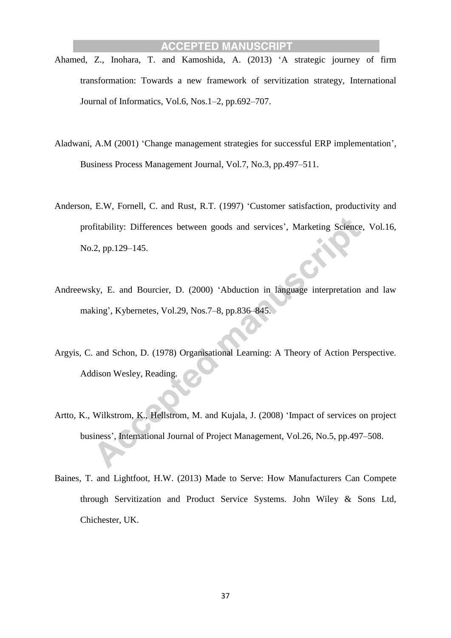- Ahamed, Z., Inohara, T. and Kamoshida, A. (2013) 'A strategic journey of firm transformation: Towards a new framework of servitization strategy, International Journal of Informatics, Vol.6, Nos.1–2, pp.692–707.
- Aladwani, A.M (2001) 'Change management strategies for successful ERP implementation', Business Process Management Journal, Vol.7, No.3, pp.497–511.
- Anderson, E.W, Fornell, C. and Rust, R.T. (1997) 'Customer satisfaction, productivity and profitability: Differences between goods and services', Marketing Science, Vol.16, No.2, pp.129–145.
- Andreewsky, E. and Bourcier, D. (2000) 'Abduction in language interpretation and law making', Kybernetes, Vol.29, Nos.7–8, pp.836–845.
- Argyis, C. and Schon, D. (1978) Organisational Learning: A Theory of Action Perspective. Addison Wesley, Reading.
- Artto, K., Wilkstrom, K., Hellstrom, M. and Kujala, J. (2008) 'Impact of services on project business', International Journal of Project Management, Vol.26, No.5, pp.497–508.
- Baines, T. and Lightfoot, H.W. (2013) Made to Serve: How Manufacturers Can Compete through Servitization and Product Service Systems. John Wiley & Sons Ltd, Chichester, UK.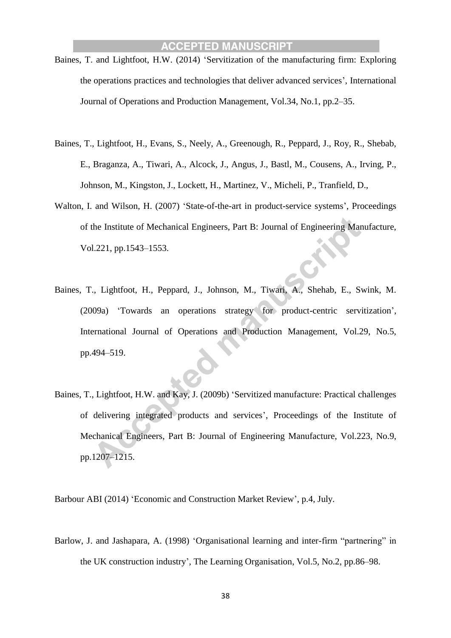- Baines, T. and Lightfoot, H.W. (2014) 'Servitization of the manufacturing firm: Exploring the operations practices and technologies that deliver advanced services', International Journal of Operations and Production Management, Vol.34, No.1, pp.2–35.
- Baines, T., Lightfoot, H., Evans, S., Neely, A., Greenough, R., Peppard, J., Roy, R., Shebab, E., Braganza, A., Tiwari, A., Alcock, J., Angus, J., Bastl, M., Cousens, A., Irving, P., Johnson, M., Kingston, J., Lockett, H., Martinez, V., Micheli, P., Tranfield, D.,
- Walton, I. and Wilson, H. (2007) 'State-of-the-art in product-service systems', Proceedings of the Institute of Mechanical Engineers, Part B: Journal of Engineering Manufacture, Vol.221, pp.1543–1553.
- Baines, T., Lightfoot, H., Peppard, J., Johnson, M., Tiwari, A., Shehab, E., Swink, M. (2009a) 'Towards an operations strategy for product-centric servitization', International Journal of Operations and Production Management, Vol.29, No.5, pp.494–519.
- Baines, T., Lightfoot, H.W. and Kay, J. (2009b) 'Servitized manufacture: Practical challenges of delivering integrated products and services', Proceedings of the Institute of Mechanical Engineers, Part B: Journal of Engineering Manufacture, Vol.223, No.9, pp.1207–1215.

Barbour ABI (2014) 'Economic and Construction Market Review', p.4, July.

Barlow, J. and Jashapara, A. (1998) 'Organisational learning and inter-firm "partnering" in the UK construction industry', The Learning Organisation, Vol.5, No.2, pp.86–98.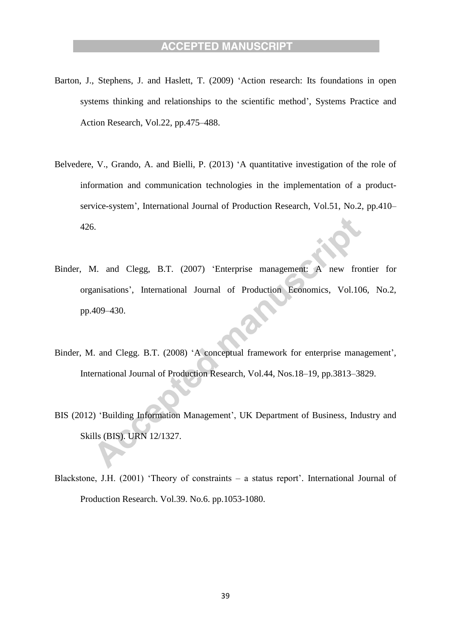- Barton, J., Stephens, J. and Haslett, T. (2009) 'Action research: Its foundations in open systems thinking and relationships to the scientific method', Systems Practice and Action Research, Vol.22, pp.475–488.
- Belvedere, V., Grando, A. and Bielli, P. (2013) 'A quantitative investigation of the role of information and communication technologies in the implementation of a productservice-system', International Journal of Production Research, Vol.51, No.2, pp.410– 426.
- Binder, M. and Clegg, B.T. (2007) 'Enterprise management: A new frontier for organisations', International Journal of Production Economics, Vol.106, No.2, pp.409–430.
- Binder, M. and Clegg. B.T. (2008) 'A conceptual framework for enterprise management', International Journal of Production Research, Vol.44, Nos.18–19, pp.3813–3829.
- BIS (2012) 'Building Information Management', UK Department of Business, Industry and Skills (BIS). URN 12/1327.
- Blackstone, J.H. (2001) 'Theory of constraints a status report'. International Journal of Production Research. Vol.39. No.6. pp.1053-1080.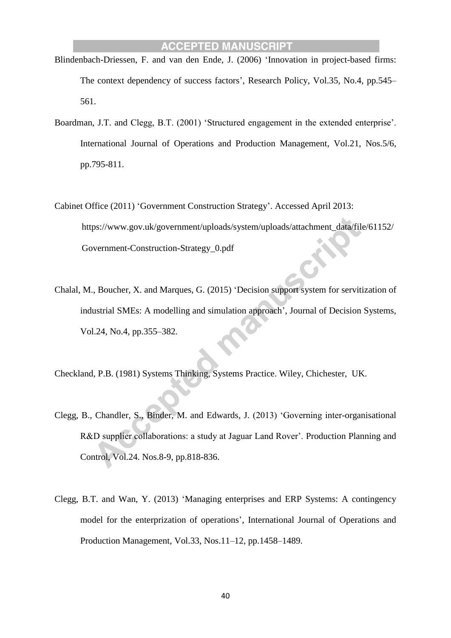- Blindenbach-Driessen, F. and van den Ende, J. (2006) 'Innovation in project-based firms: The context dependency of success factors', Research Policy, Vol.35, No.4, pp.545– 561.
- Boardman, J.T. and Clegg, B.T. (2001) 'Structured engagement in the extended enterprise'. International Journal of Operations and Production Management, Vol.21, Nos.5/6, pp.795-811.
- Cabinet Office (2011) 'Government Construction Strategy'. Accessed April 2013: https://www.gov.uk/government/uploads/system/uploads/attachment\_data/file/61152/ Government-Construction-Strategy\_0.pdf
- Chalal, M., Boucher, X. and Marques, G. (2015) 'Decision support system for servitization of industrial SMEs: A modelling and simulation approach', Journal of Decision Systems, Vol.24, No.4, pp.355–382.
- Checkland, P.B. (1981) Systems Thinking, Systems Practice. Wiley, Chichester, UK.
- Clegg, B., Chandler, S., Binder, M. and Edwards, J. (2013) 'Governing inter-organisational R&D supplier collaborations: a study at Jaguar Land Rover'. Production Planning and Control, Vol.24. Nos.8-9, pp.818-836.
- Clegg, B.T. and Wan, Y. (2013) 'Managing enterprises and ERP Systems: A contingency model for the enterprization of operations', International Journal of Operations and Production Management, Vol.33, Nos.11–12, pp.1458–1489.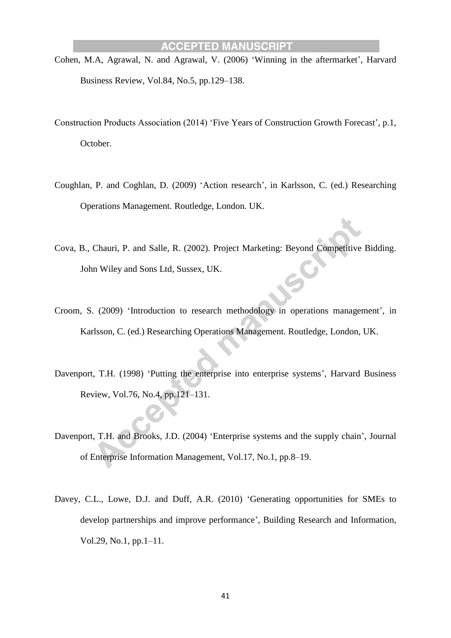- Cohen, M.A, Agrawal, N. and Agrawal, V. (2006) 'Winning in the aftermarket', Harvard Business Review, Vol.84, No.5, pp.129–138.
- Construction Products Association (2014) 'Five Years of Construction Growth Forecast', p.1, October.
- Coughlan, P. and Coghlan, D. (2009) 'Action research', in Karlsson, C. (ed.) Researching Operations Management. Routledge, London. UK.
- Cova, B., Chauri, P. and Salle, R. (2002). Project Marketing: Beyond Competitive Bidding. John Wiley and Sons Ltd, Sussex, UK.
- Croom, S. (2009) 'Introduction to research methodology in operations management', in Karlsson, C. (ed.) Researching Operations Management. Routledge, London, UK.
- Davenport, T.H. (1998) 'Putting the enterprise into enterprise systems', Harvard Business Review, Vol.76, No.4, pp.121–131.
- Davenport, T.H. and Brooks, J.D. (2004) 'Enterprise systems and the supply chain', Journal of Enterprise Information Management, Vol.17, No.1, pp.8–19.
- Davey, C.L., Lowe, D.J. and Duff, A.R. (2010) 'Generating opportunities for SMEs to develop partnerships and improve performance', Building Research and Information, Vol.29, No.1, pp.1–11.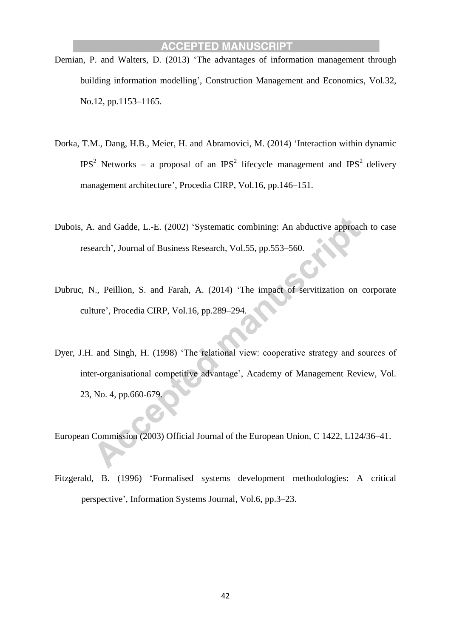- Demian, P. and Walters, D. (2013) 'The advantages of information management through building information modelling', Construction Management and Economics, Vol.32, No.12, pp.1153–1165.
- Dorka, T.M., Dang, H.B., Meier, H. and Abramovici, M. (2014) 'Interaction within dynamic IPS<sup>2</sup> Networks – a proposal of an IPS<sup>2</sup> lifecycle management and IPS<sup>2</sup> delivery management architecture', Procedia CIRP, Vol.16, pp.146–151.
- Dubois, A. and Gadde, L.-E. (2002) 'Systematic combining: An abductive approach to case research', Journal of Business Research, Vol.55, pp.553–560.
- Dubruc, N., Peillion, S. and Farah, A. (2014) 'The impact of servitization on corporate culture', Procedia CIRP, Vol.16, pp.289–294.
- Dyer, J.H. and Singh, H. (1998) 'The relational view: cooperative strategy and sources of inter-organisational competitive advantage', Academy of Management Review, Vol. 23, No. 4, pp.660-679.

European Commission (2003) Official Journal of the European Union, C 1422, L124/36–41.

Fitzgerald, B. (1996) 'Formalised systems development methodologies: A critical perspective', Information Systems Journal, Vol.6, pp.3–23.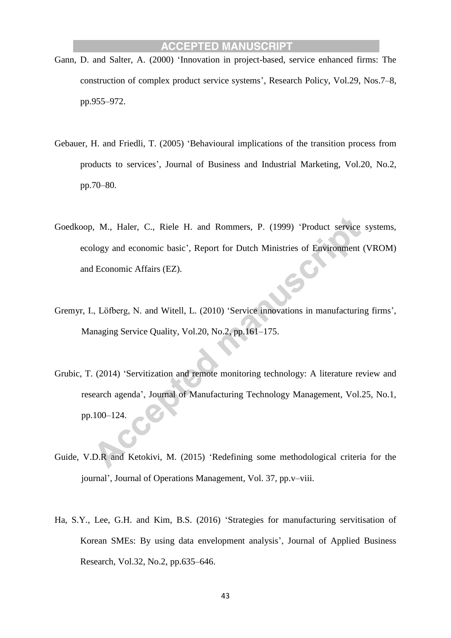- Gann, D. and Salter, A. (2000) 'Innovation in project-based, service enhanced firms: The construction of complex product service systems', Research Policy, Vol.29, Nos.7–8, pp.955–972.
- Gebauer, H. and Friedli, T. (2005) 'Behavioural implications of the transition process from products to services', Journal of Business and Industrial Marketing, Vol.20, No.2, pp.70–80.
- Goedkoop, M., Haler, C., Riele H. and Rommers, P. (1999) 'Product service systems, ecology and economic basic', Report for Dutch Ministries of Environment (VROM) and Economic Affairs (EZ).
- Gremyr, I., Löfberg, N. and Witell, L. (2010) 'Service innovations in manufacturing firms', Managing Service Quality, Vol.20, No.2, pp.161–175.
- Grubic, T. (2014) 'Servitization and remote monitoring technology: A literature review and research agenda', Journal of Manufacturing Technology Management, Vol.25, No.1, pp.100–124.
- Guide, V.D.R and Ketokivi, M. (2015) 'Redefining some methodological criteria for the journal', Journal of Operations Management, Vol. 37, pp.v–viii.
- Ha, S.Y., Lee, G.H. and Kim, B.S. (2016) 'Strategies for manufacturing servitisation of Korean SMEs: By using data envelopment analysis', Journal of Applied Business Research, Vol.32, No.2, pp.635–646.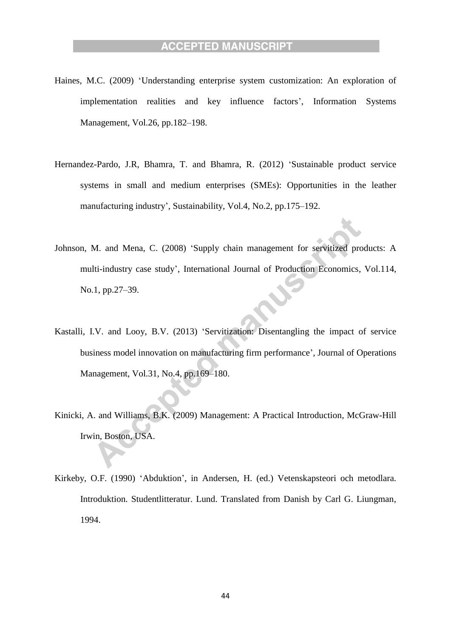- Haines, M.C. (2009) 'Understanding enterprise system customization: An exploration of implementation realities and key influence factors', Information Systems Management, Vol.26, pp.182–198.
- Hernandez-Pardo, J.R, Bhamra, T. and Bhamra, R. (2012) 'Sustainable product service systems in small and medium enterprises (SMEs): Opportunities in the leather manufacturing industry', Sustainability, Vol.4, No.2, pp.175–192.
- Johnson, M. and Mena, C. (2008) 'Supply chain management for servitized products: A multi-industry case study', International Journal of Production Economics, Vol.114, No.1, pp.27–39.
- Kastalli, I.V. and Looy, B.V. (2013) 'Servitization: Disentangling the impact of service business model innovation on manufacturing firm performance', Journal of Operations Management, Vol.31, No.4, pp.169–180.
- Kinicki, A. and Williams, B.K. (2009) Management: A Practical Introduction, McGraw-Hill Irwin, Boston, USA.
- Kirkeby, O.F. (1990) 'Abduktion', in Andersen, H. (ed.) Vetenskapsteori och metodlara. Introduktion. Studentlitteratur. Lund. Translated from Danish by Carl G. Liungman, 1994.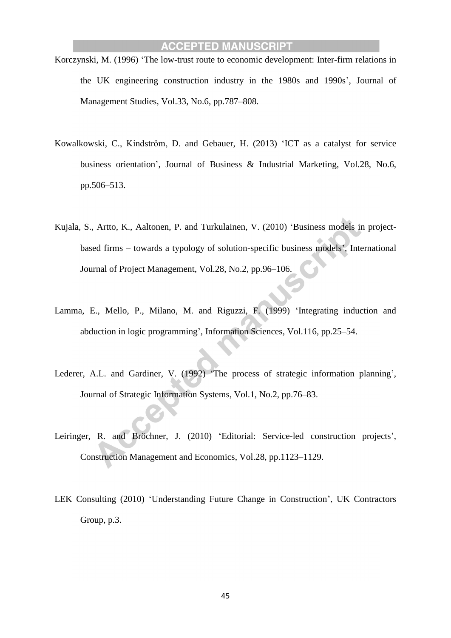- Korczynski, M. (1996) 'The low-trust route to economic development: Inter-firm relations in the UK engineering construction industry in the 1980s and 1990s', Journal of Management Studies, Vol.33, No.6, pp.787–808.
- Kowalkowski, C., Kindström, D. and Gebauer, H. (2013) 'ICT as a catalyst for service business orientation', Journal of Business & Industrial Marketing, Vol.28, No.6, pp.506–513.
- Kujala, S., Artto, K., Aaltonen, P. and Turkulainen, V. (2010) 'Business models in projectbased firms – towards a typology of solution-specific business models', International Journal of Project Management, Vol.28, No.2, pp.96–106.
- Lamma, E., Mello, P., Milano, M. and Riguzzi, F. (1999) 'Integrating induction and abduction in logic programming', Information Sciences, Vol.116, pp.25–54.
- Lederer, A.L. and Gardiner, V. (1992) 'The process of strategic information planning', Journal of Strategic Information Systems, Vol.1, No.2, pp.76–83.
- Leiringer, R. and Bröchner, J. (2010) 'Editorial: Service-led construction projects', Construction Management and Economics, Vol.28, pp.1123–1129.
- LEK Consulting (2010) 'Understanding Future Change in Construction', UK Contractors Group, p.3.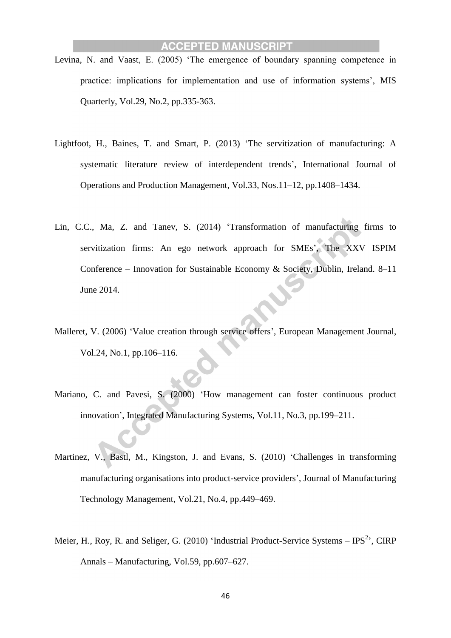- Levina, N. and Vaast, E. (2005) 'The emergence of boundary spanning competence in practice: implications for implementation and use of information systems', MIS Quarterly, Vol.29, No.2, pp.335-363.
- Lightfoot, H., Baines, T. and Smart, P. (2013) 'The servitization of manufacturing: A systematic literature review of interdependent trends', International Journal of Operations and Production Management, Vol.33, Nos.11–12, pp.1408–1434.
- Lin, C.C., Ma, Z. and Tanev, S. (2014) 'Transformation of manufacturing firms to servitization firms: An ego network approach for SMEs', The XXV ISPIM Conference – Innovation for Sustainable Economy & Society, Dublin, Ireland. 8–11 June 2014.
- Malleret, V. (2006) 'Value creation through service offers', European Management Journal, Vol.24, No.1, pp.106–116.
- Mariano, C. and Pavesi, S. (2000) 'How management can foster continuous product innovation', Integrated Manufacturing Systems, Vol.11, No.3, pp.199–211.
- Martinez, V., Bastl, M., Kingston, J. and Evans, S. (2010) 'Challenges in transforming manufacturing organisations into product-service providers', Journal of Manufacturing Technology Management, Vol.21, No.4, pp.449–469.
- Meier, H., Roy, R. and Seliger, G. (2010) 'Industrial Product-Service Systems  $-$  IPS<sup>2</sup>', CIRP Annals – Manufacturing, Vol.59, pp.607–627.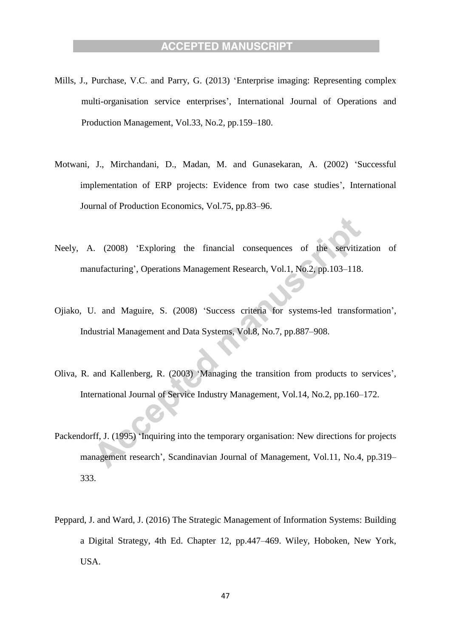- Mills, J., Purchase, V.C. and Parry, G. (2013) 'Enterprise imaging: Representing complex multi-organisation service enterprises', International Journal of Operations and Production Management, Vol.33, No.2, pp.159–180.
- Motwani, J., Mirchandani, D., Madan, M. and Gunasekaran, A. (2002) 'Successful implementation of ERP projects: Evidence from two case studies', International Journal of Production Economics, Vol.75, pp.83–96.
- Neely, A. (2008) 'Exploring the financial consequences of the servitization of manufacturing', Operations Management Research, Vol.1, No.2, pp.103–118.
- Ojiako, U. and Maguire, S. (2008) 'Success criteria for systems-led transformation', Industrial Management and Data Systems, Vol.8, No.7, pp.887–908.
- Oliva, R. and Kallenberg, R. (2003) 'Managing the transition from products to services', International Journal of Service Industry Management, Vol.14, No.2, pp.160–172.
- Packendorff, J. (1995) 'Inquiring into the temporary organisation: New directions for projects management research', Scandinavian Journal of Management, Vol.11, No.4, pp.319– 333.
- Peppard, J. and Ward, J. (2016) The Strategic Management of Information Systems: Building a Digital Strategy, 4th Ed. Chapter 12, pp.447–469. Wiley, Hoboken, New York, USA.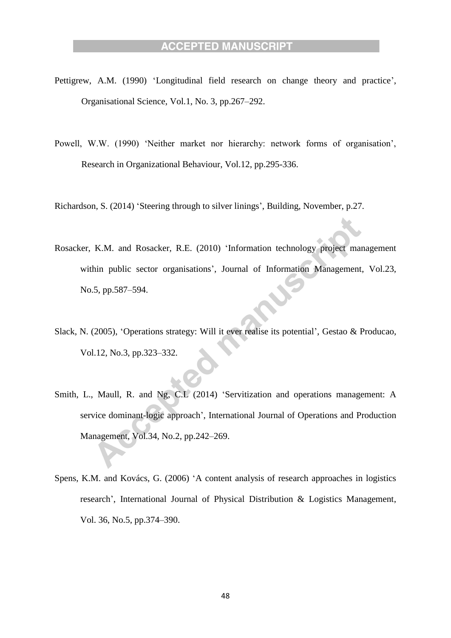- Pettigrew, A.M. (1990) 'Longitudinal field research on change theory and practice', Organisational Science, Vol.1, No. 3, pp.267–292.
- Powell, W.W. (1990) 'Neither market nor hierarchy: network forms of organisation', Research in Organizational Behaviour, Vol.12, pp.295-336.

Richardson, S. (2014) 'Steering through to silver linings', Building, November, p.27.

- Rosacker, K.M. and Rosacker, R.E. (2010) 'Information technology project management within public sector organisations', Journal of Information Management, Vol.23, No.5, pp.587–594.
- Slack, N. (2005), 'Operations strategy: Will it ever realise its potential', Gestao & Producao, Vol.12, No.3, pp.323–332.
- Smith, L., Maull, R. and Ng, C.L (2014) 'Servitization and operations management: A service dominant-logic approach', International Journal of Operations and Production Management, Vol.34, No.2, pp.242–269.
- Spens, K.M. and Kovács, G. (2006) 'A content analysis of research approaches in logistics research', International Journal of Physical Distribution & Logistics Management, Vol. 36, No.5, pp.374–390.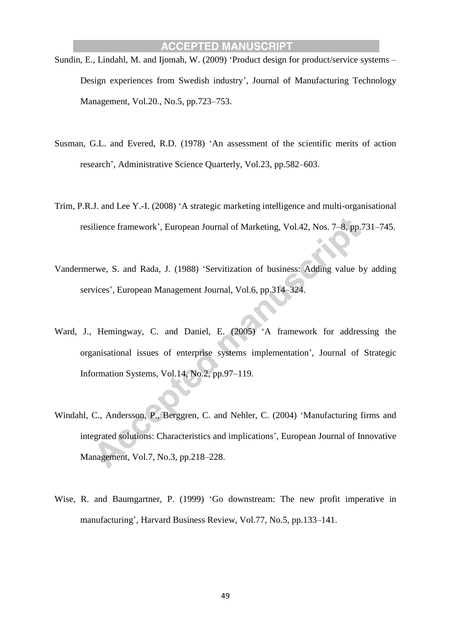- Sundin, E., Lindahl, M. and Ijomah, W. (2009) 'Product design for product/service systems Design experiences from Swedish industry', Journal of Manufacturing Technology Management, Vol.20., No.5, pp.723–753.
- Susman, G.L. and Evered, R.D. (1978) 'An assessment of the scientific merits of action research', Administrative Science Quarterly, Vol.23, pp.582–603.
- Trim, P.R.J. and Lee Y.-I. (2008) 'A strategic marketing intelligence and multi-organisational resilience framework', European Journal of Marketing, Vol.42, Nos. 7–8, pp.731–745.
- Vandermerwe, S. and Rada, J. (1988) 'Servitization of business: Adding value by adding services', European Management Journal, Vol.6, pp.314–324.
- Ward, J., Hemingway, C. and Daniel, E. (2005) 'A framework for addressing the organisational issues of enterprise systems implementation', Journal of Strategic Information Systems, Vol.14, No.2, pp.97–119.
- Windahl, C., Andersson, P., Berggren, C. and Nehler, C. (2004) 'Manufacturing firms and integrated solutions: Characteristics and implications', European Journal of Innovative Management, Vol.7, No.3, pp.218–228.
- Wise, R. and Baumgartner, P. (1999) 'Go downstream: The new profit imperative in manufacturing', Harvard Business Review, Vol.77, No.5, pp.133–141.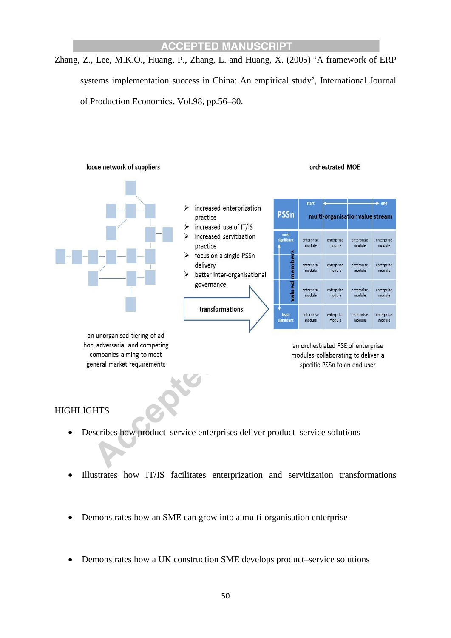Zhang, Z., Lee, M.K.O., Huang, P., Zhang, L. and Huang, X. (2005) 'A framework of ERP systems implementation success in China: An empirical study', International Journal of Production Economics, Vol.98, pp.56–80.



#### **HIGHLIGHTS**

- Describes how product–service enterprises deliver product–service solutions
- Illustrates how IT/IS facilitates enterprization and servitization transformations
- Demonstrates how an SME can grow into a multi-organisation enterprise
- Demonstrates how a UK construction SME develops product–service solutions